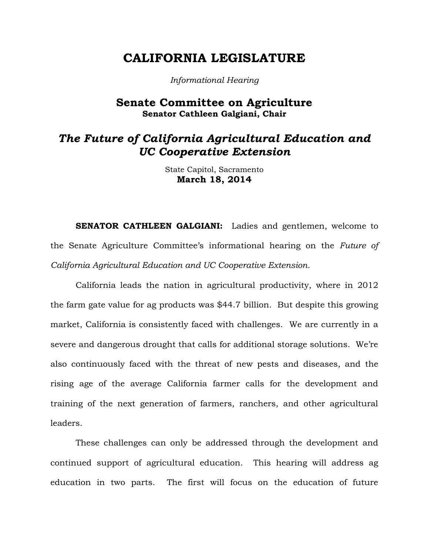# **CALIFORNIA LEGISLATURE**

*Informational Hearing*

### **Senate Committee on Agriculture Senator Cathleen Galgiani, Chair**

## *The Future of California Agricultural Education and UC Cooperative Extension*

State Capitol, Sacramento **March 18, 2014**

**SENATOR CATHLEEN GALGIANI:** Ladies and gentlemen, welcome to the Senate Agriculture Committee's informational hearing on the *Future of California Agricultural Education and UC Cooperative Extension*.

California leads the nation in agricultural productivity, where in 2012 the farm gate value for ag products was \$44.7 billion. But despite this growing market, California is consistently faced with challenges. We are currently in a severe and dangerous drought that calls for additional storage solutions. We're also continuously faced with the threat of new pests and diseases, and the rising age of the average California farmer calls for the development and training of the next generation of farmers, ranchers, and other agricultural leaders.

These challenges can only be addressed through the development and continued support of agricultural education. This hearing will address ag education in two parts. The first will focus on the education of future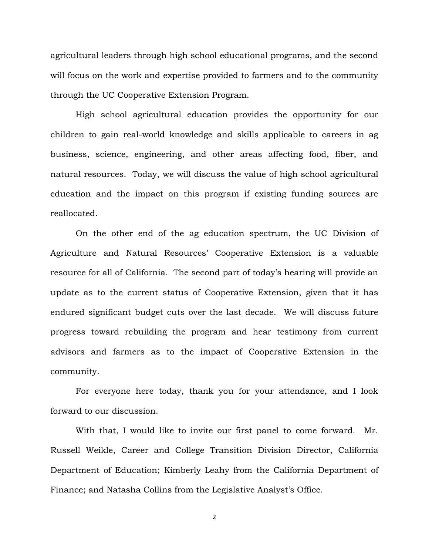agricultural leaders through high school educational programs, and the second will focus on the work and expertise provided to farmers and to the community through the UC Cooperative Extension Program.

High school agricultural education provides the opportunity for our children to gain real-world knowledge and skills applicable to careers in ag business, science, engineering, and other areas affecting food, fiber, and natural resources. Today, we will discuss the value of high school agricultural education and the impact on this program if existing funding sources are reallocated.

On the other end of the ag education spectrum, the UC Division of Agriculture and Natural Resources' Cooperative Extension is a valuable resource for all of California. The second part of today's hearing will provide an update as to the current status of Cooperative Extension, given that it has endured significant budget cuts over the last decade. We will discuss future progress toward rebuilding the program and hear testimony from current advisors and farmers as to the impact of Cooperative Extension in the community.

For everyone here today, thank you for your attendance, and I look forward to our discussion.

With that, I would like to invite our first panel to come forward. Mr. Russell Weikle, Career and College Transition Division Director, California Department of Education; Kimberly Leahy from the California Department of Finance; and Natasha Collins from the Legislative Analyst's Office.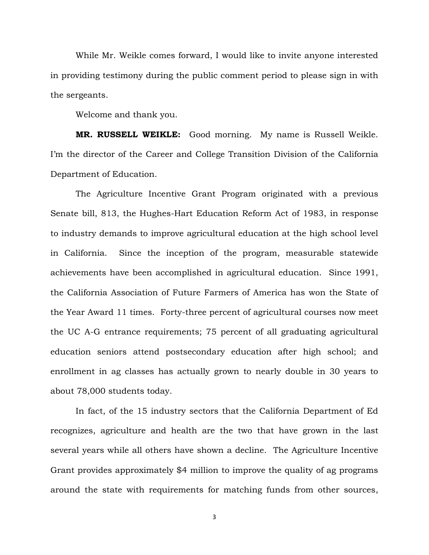While Mr. Weikle comes forward, I would like to invite anyone interested in providing testimony during the public comment period to please sign in with the sergeants.

Welcome and thank you.

**MR. RUSSELL WEIKLE:** Good morning. My name is Russell Weikle. I'm the director of the Career and College Transition Division of the California Department of Education.

The Agriculture Incentive Grant Program originated with a previous Senate bill, 813, the Hughes-Hart Education Reform Act of 1983, in response to industry demands to improve agricultural education at the high school level in California. Since the inception of the program, measurable statewide achievements have been accomplished in agricultural education. Since 1991, the California Association of Future Farmers of America has won the State of the Year Award 11 times. Forty-three percent of agricultural courses now meet the UC A-G entrance requirements; 75 percent of all graduating agricultural education seniors attend postsecondary education after high school; and enrollment in ag classes has actually grown to nearly double in 30 years to about 78,000 students today.

In fact, of the 15 industry sectors that the California Department of Ed recognizes, agriculture and health are the two that have grown in the last several years while all others have shown a decline. The Agriculture Incentive Grant provides approximately \$4 million to improve the quality of ag programs around the state with requirements for matching funds from other sources,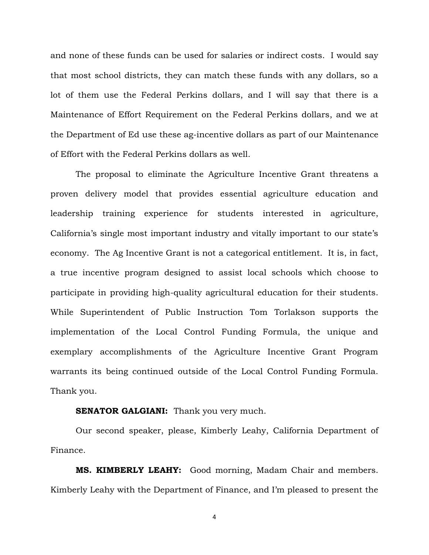and none of these funds can be used for salaries or indirect costs. I would say that most school districts, they can match these funds with any dollars, so a lot of them use the Federal Perkins dollars, and I will say that there is a Maintenance of Effort Requirement on the Federal Perkins dollars, and we at the Department of Ed use these ag-incentive dollars as part of our Maintenance of Effort with the Federal Perkins dollars as well.

The proposal to eliminate the Agriculture Incentive Grant threatens a proven delivery model that provides essential agriculture education and leadership training experience for students interested in agriculture, California's single most important industry and vitally important to our state's economy. The Ag Incentive Grant is not a categorical entitlement. It is, in fact, a true incentive program designed to assist local schools which choose to participate in providing high-quality agricultural education for their students. While Superintendent of Public Instruction Tom Torlakson supports the implementation of the Local Control Funding Formula, the unique and exemplary accomplishments of the Agriculture Incentive Grant Program warrants its being continued outside of the Local Control Funding Formula. Thank you.

#### **SENATOR GALGIANI:** Thank you very much.

Our second speaker, please, Kimberly Leahy, California Department of Finance.

**MS. KIMBERLY LEAHY:** Good morning, Madam Chair and members. Kimberly Leahy with the Department of Finance, and I'm pleased to present the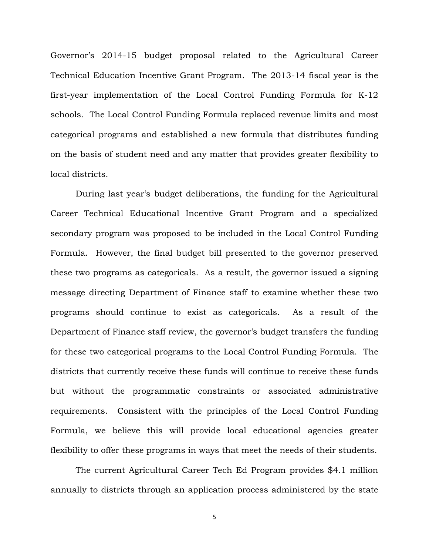Governor's 2014-15 budget proposal related to the Agricultural Career Technical Education Incentive Grant Program. The 2013-14 fiscal year is the first-year implementation of the Local Control Funding Formula for K-12 schools. The Local Control Funding Formula replaced revenue limits and most categorical programs and established a new formula that distributes funding on the basis of student need and any matter that provides greater flexibility to local districts.

During last year's budget deliberations, the funding for the Agricultural Career Technical Educational Incentive Grant Program and a specialized secondary program was proposed to be included in the Local Control Funding Formula. However, the final budget bill presented to the governor preserved these two programs as categoricals. As a result, the governor issued a signing message directing Department of Finance staff to examine whether these two programs should continue to exist as categoricals. As a result of the Department of Finance staff review, the governor's budget transfers the funding for these two categorical programs to the Local Control Funding Formula. The districts that currently receive these funds will continue to receive these funds but without the programmatic constraints or associated administrative requirements. Consistent with the principles of the Local Control Funding Formula, we believe this will provide local educational agencies greater flexibility to offer these programs in ways that meet the needs of their students.

The current Agricultural Career Tech Ed Program provides \$4.1 million annually to districts through an application process administered by the state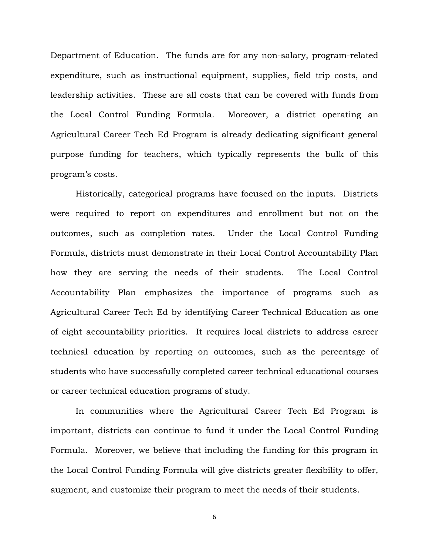Department of Education. The funds are for any non-salary, program-related expenditure, such as instructional equipment, supplies, field trip costs, and leadership activities. These are all costs that can be covered with funds from the Local Control Funding Formula. Moreover, a district operating an Agricultural Career Tech Ed Program is already dedicating significant general purpose funding for teachers, which typically represents the bulk of this program's costs.

Historically, categorical programs have focused on the inputs. Districts were required to report on expenditures and enrollment but not on the outcomes, such as completion rates. Under the Local Control Funding Formula, districts must demonstrate in their Local Control Accountability Plan how they are serving the needs of their students. The Local Control Accountability Plan emphasizes the importance of programs such as Agricultural Career Tech Ed by identifying Career Technical Education as one of eight accountability priorities. It requires local districts to address career technical education by reporting on outcomes, such as the percentage of students who have successfully completed career technical educational courses or career technical education programs of study.

In communities where the Agricultural Career Tech Ed Program is important, districts can continue to fund it under the Local Control Funding Formula. Moreover, we believe that including the funding for this program in the Local Control Funding Formula will give districts greater flexibility to offer, augment, and customize their program to meet the needs of their students.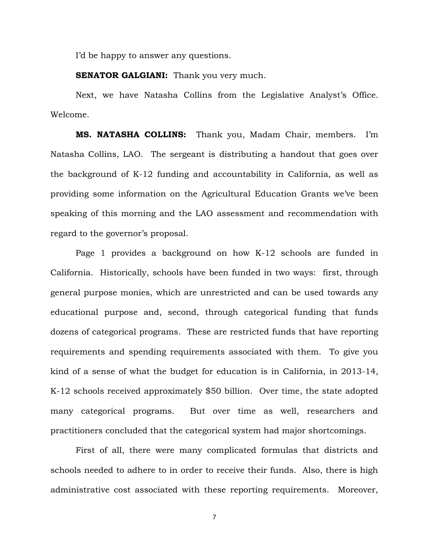I'd be happy to answer any questions.

**SENATOR GALGIANI:** Thank you very much.

Next, we have Natasha Collins from the Legislative Analyst's Office. Welcome.

**MS. NATASHA COLLINS:** Thank you, Madam Chair, members. I'm Natasha Collins, LAO. The sergeant is distributing a handout that goes over the background of K-12 funding and accountability in California, as well as providing some information on the Agricultural Education Grants we've been speaking of this morning and the LAO assessment and recommendation with regard to the governor's proposal.

Page 1 provides a background on how K-12 schools are funded in California. Historically, schools have been funded in two ways: first, through general purpose monies, which are unrestricted and can be used towards any educational purpose and, second, through categorical funding that funds dozens of categorical programs. These are restricted funds that have reporting requirements and spending requirements associated with them. To give you kind of a sense of what the budget for education is in California, in 2013-14, K-12 schools received approximately \$50 billion. Over time, the state adopted many categorical programs. But over time as well, researchers and practitioners concluded that the categorical system had major shortcomings.

First of all, there were many complicated formulas that districts and schools needed to adhere to in order to receive their funds. Also, there is high administrative cost associated with these reporting requirements. Moreover,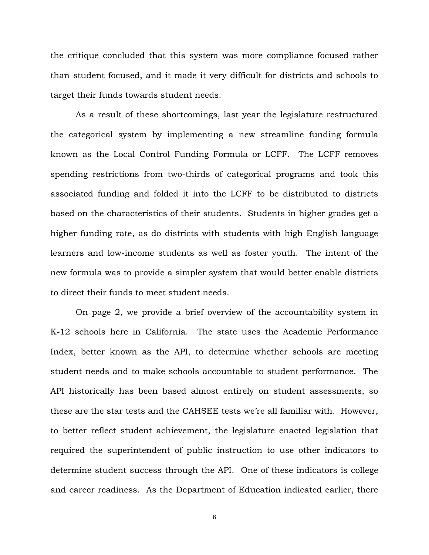the critique concluded that this system was more compliance focused rather than student focused, and it made it very difficult for districts and schools to target their funds towards student needs.

As a result of these shortcomings, last year the legislature restructured the categorical system by implementing a new streamline funding formula known as the Local Control Funding Formula or LCFF. The LCFF removes spending restrictions from two-thirds of categorical programs and took this associated funding and folded it into the LCFF to be distributed to districts based on the characteristics of their students. Students in higher grades get a higher funding rate, as do districts with students with high English language learners and low-income students as well as foster youth. The intent of the new formula was to provide a simpler system that would better enable districts to direct their funds to meet student needs.

On page 2, we provide a brief overview of the accountability system in K-12 schools here in California. The state uses the Academic Performance Index, better known as the API, to determine whether schools are meeting student needs and to make schools accountable to student performance. The API historically has been based almost entirely on student assessments, so these are the star tests and the CAHSEE tests we're all familiar with. However, to better reflect student achievement, the legislature enacted legislation that required the superintendent of public instruction to use other indicators to determine student success through the API. One of these indicators is college and career readiness. As the Department of Education indicated earlier, there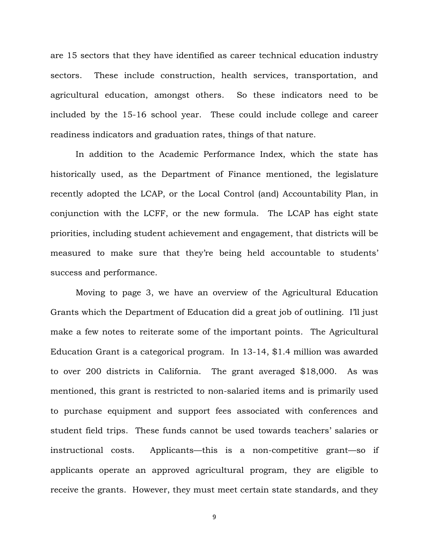are 15 sectors that they have identified as career technical education industry sectors. These include construction, health services, transportation, and agricultural education, amongst others. So these indicators need to be included by the 15-16 school year. These could include college and career readiness indicators and graduation rates, things of that nature.

In addition to the Academic Performance Index, which the state has historically used, as the Department of Finance mentioned, the legislature recently adopted the LCAP, or the Local Control (and) Accountability Plan, in conjunction with the LCFF, or the new formula. The LCAP has eight state priorities, including student achievement and engagement, that districts will be measured to make sure that they're being held accountable to students' success and performance.

Moving to page 3, we have an overview of the Agricultural Education Grants which the Department of Education did a great job of outlining. I'll just make a few notes to reiterate some of the important points. The Agricultural Education Grant is a categorical program. In 13-14, \$1.4 million was awarded to over 200 districts in California. The grant averaged \$18,000. As was mentioned, this grant is restricted to non-salaried items and is primarily used to purchase equipment and support fees associated with conferences and student field trips. These funds cannot be used towards teachers' salaries or instructional costs. Applicants—this is a non-competitive grant—so if applicants operate an approved agricultural program, they are eligible to receive the grants. However, they must meet certain state standards, and they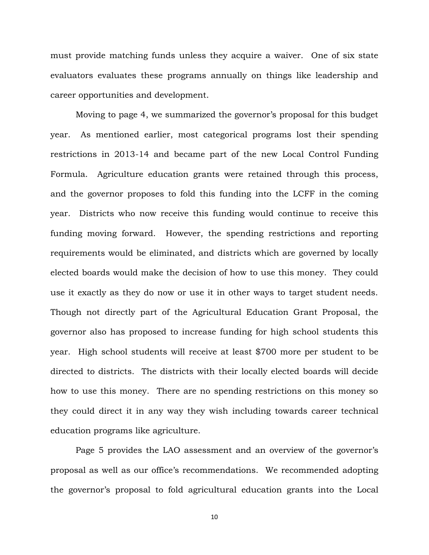must provide matching funds unless they acquire a waiver. One of six state evaluators evaluates these programs annually on things like leadership and career opportunities and development.

Moving to page 4, we summarized the governor's proposal for this budget year. As mentioned earlier, most categorical programs lost their spending restrictions in 2013-14 and became part of the new Local Control Funding Formula. Agriculture education grants were retained through this process, and the governor proposes to fold this funding into the LCFF in the coming year. Districts who now receive this funding would continue to receive this funding moving forward. However, the spending restrictions and reporting requirements would be eliminated, and districts which are governed by locally elected boards would make the decision of how to use this money. They could use it exactly as they do now or use it in other ways to target student needs. Though not directly part of the Agricultural Education Grant Proposal, the governor also has proposed to increase funding for high school students this year. High school students will receive at least \$700 more per student to be directed to districts. The districts with their locally elected boards will decide how to use this money. There are no spending restrictions on this money so they could direct it in any way they wish including towards career technical education programs like agriculture.

Page 5 provides the LAO assessment and an overview of the governor's proposal as well as our office's recommendations. We recommended adopting the governor's proposal to fold agricultural education grants into the Local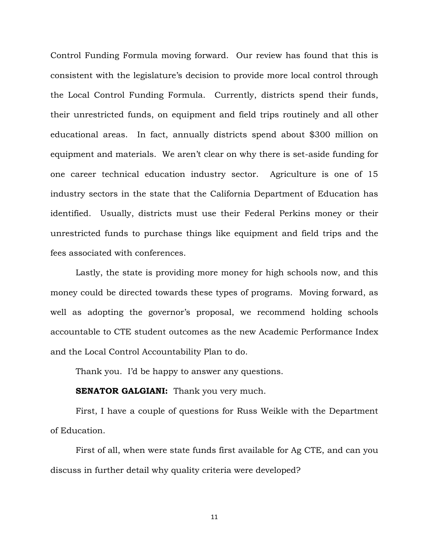Control Funding Formula moving forward. Our review has found that this is consistent with the legislature's decision to provide more local control through the Local Control Funding Formula. Currently, districts spend their funds, their unrestricted funds, on equipment and field trips routinely and all other educational areas. In fact, annually districts spend about \$300 million on equipment and materials. We aren't clear on why there is set-aside funding for one career technical education industry sector. Agriculture is one of 15 industry sectors in the state that the California Department of Education has identified. Usually, districts must use their Federal Perkins money or their unrestricted funds to purchase things like equipment and field trips and the fees associated with conferences.

Lastly, the state is providing more money for high schools now, and this money could be directed towards these types of programs. Moving forward, as well as adopting the governor's proposal, we recommend holding schools accountable to CTE student outcomes as the new Academic Performance Index and the Local Control Accountability Plan to do.

Thank you. I'd be happy to answer any questions.

#### **SENATOR GALGIANI:** Thank you very much.

First, I have a couple of questions for Russ Weikle with the Department of Education.

First of all, when were state funds first available for Ag CTE, and can you discuss in further detail why quality criteria were developed?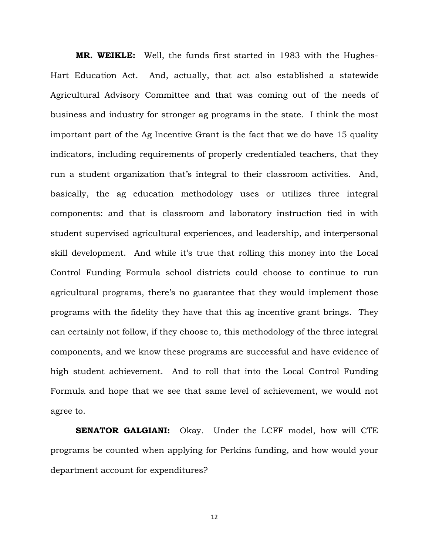**MR. WEIKLE:** Well, the funds first started in 1983 with the Hughes-Hart Education Act. And, actually, that act also established a statewide Agricultural Advisory Committee and that was coming out of the needs of business and industry for stronger ag programs in the state. I think the most important part of the Ag Incentive Grant is the fact that we do have 15 quality indicators, including requirements of properly credentialed teachers, that they run a student organization that's integral to their classroom activities. And, basically, the ag education methodology uses or utilizes three integral components: and that is classroom and laboratory instruction tied in with student supervised agricultural experiences, and leadership, and interpersonal skill development. And while it's true that rolling this money into the Local Control Funding Formula school districts could choose to continue to run agricultural programs, there's no guarantee that they would implement those programs with the fidelity they have that this ag incentive grant brings. They can certainly not follow, if they choose to, this methodology of the three integral components, and we know these programs are successful and have evidence of high student achievement. And to roll that into the Local Control Funding Formula and hope that we see that same level of achievement, we would not agree to.

**SENATOR GALGIANI:** Okay. Under the LCFF model, how will CTE programs be counted when applying for Perkins funding, and how would your department account for expenditures?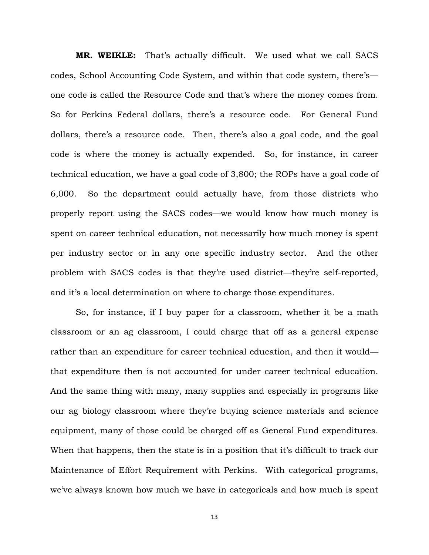**MR. WEIKLE:** That's actually difficult. We used what we call SACS codes, School Accounting Code System, and within that code system, there's one code is called the Resource Code and that's where the money comes from. So for Perkins Federal dollars, there's a resource code. For General Fund dollars, there's a resource code. Then, there's also a goal code, and the goal code is where the money is actually expended. So, for instance, in career technical education, we have a goal code of 3,800; the ROPs have a goal code of 6,000. So the department could actually have, from those districts who properly report using the SACS codes—we would know how much money is spent on career technical education, not necessarily how much money is spent per industry sector or in any one specific industry sector. And the other problem with SACS codes is that they're used district—they're self-reported, and it's a local determination on where to charge those expenditures.

So, for instance, if I buy paper for a classroom, whether it be a math classroom or an ag classroom, I could charge that off as a general expense rather than an expenditure for career technical education, and then it would that expenditure then is not accounted for under career technical education. And the same thing with many, many supplies and especially in programs like our ag biology classroom where they're buying science materials and science equipment, many of those could be charged off as General Fund expenditures. When that happens, then the state is in a position that it's difficult to track our Maintenance of Effort Requirement with Perkins. With categorical programs, we've always known how much we have in categoricals and how much is spent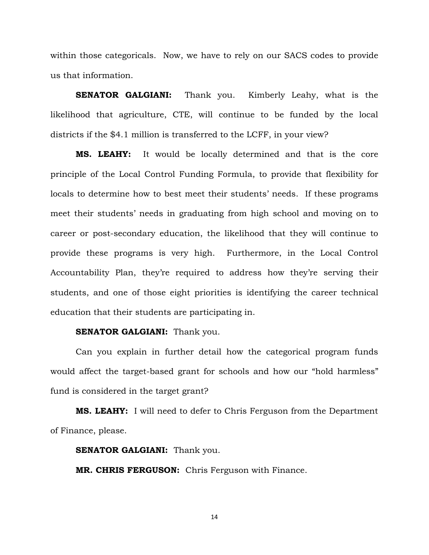within those categoricals. Now, we have to rely on our SACS codes to provide us that information.

**SENATOR GALGIANI:** Thank you. Kimberly Leahy, what is the likelihood that agriculture, CTE, will continue to be funded by the local districts if the \$4.1 million is transferred to the LCFF, in your view?

**MS. LEAHY:** It would be locally determined and that is the core principle of the Local Control Funding Formula, to provide that flexibility for locals to determine how to best meet their students' needs. If these programs meet their students' needs in graduating from high school and moving on to career or post-secondary education, the likelihood that they will continue to provide these programs is very high. Furthermore, in the Local Control Accountability Plan, they're required to address how they're serving their students, and one of those eight priorities is identifying the career technical education that their students are participating in.

#### **SENATOR GALGIANI:** Thank you.

Can you explain in further detail how the categorical program funds would affect the target-based grant for schools and how our "hold harmless" fund is considered in the target grant?

**MS. LEAHY:** I will need to defer to Chris Ferguson from the Department of Finance, please.

**SENATOR GALGIANI:** Thank you.

**MR. CHRIS FERGUSON:** Chris Ferguson with Finance.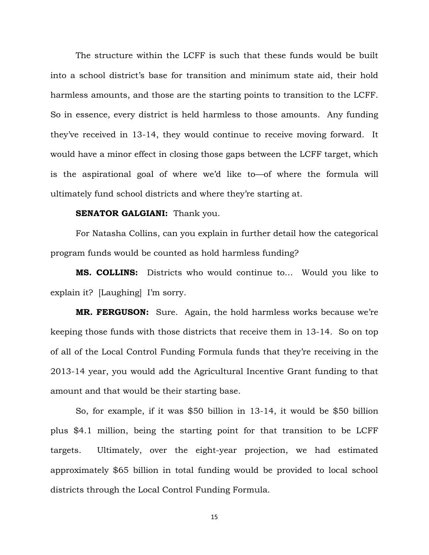The structure within the LCFF is such that these funds would be built into a school district's base for transition and minimum state aid, their hold harmless amounts, and those are the starting points to transition to the LCFF. So in essence, every district is held harmless to those amounts. Any funding they've received in 13-14, they would continue to receive moving forward. It would have a minor effect in closing those gaps between the LCFF target, which is the aspirational goal of where we'd like to—of where the formula will ultimately fund school districts and where they're starting at.

#### **SENATOR GALGIANI:** Thank you.

For Natasha Collins, can you explain in further detail how the categorical program funds would be counted as hold harmless funding?

**MS. COLLINS:** Districts who would continue to… Would you like to explain it? [Laughing] I'm sorry.

**MR. FERGUSON:** Sure. Again, the hold harmless works because we're keeping those funds with those districts that receive them in 13-14. So on top of all of the Local Control Funding Formula funds that they're receiving in the 2013-14 year, you would add the Agricultural Incentive Grant funding to that amount and that would be their starting base.

So, for example, if it was \$50 billion in 13-14, it would be \$50 billion plus \$4.1 million, being the starting point for that transition to be LCFF targets. Ultimately, over the eight-year projection, we had estimated approximately \$65 billion in total funding would be provided to local school districts through the Local Control Funding Formula.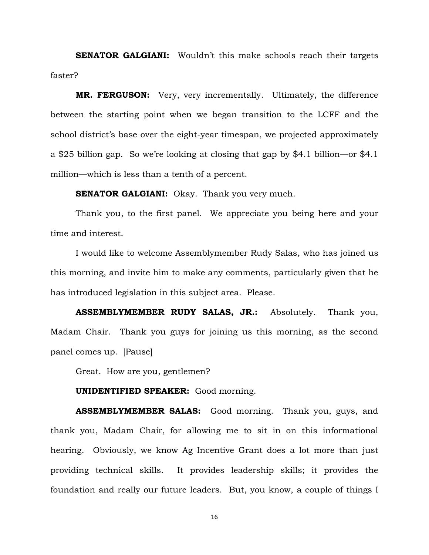**SENATOR GALGIANI:** Wouldn't this make schools reach their targets faster?

**MR. FERGUSON:** Very, very incrementally. Ultimately, the difference between the starting point when we began transition to the LCFF and the school district's base over the eight-year timespan, we projected approximately a \$25 billion gap. So we're looking at closing that gap by \$4.1 billion—or \$4.1 million—which is less than a tenth of a percent.

**SENATOR GALGIANI:** Okay. Thank you very much.

Thank you, to the first panel. We appreciate you being here and your time and interest.

I would like to welcome Assemblymember Rudy Salas, who has joined us this morning, and invite him to make any comments, particularly given that he has introduced legislation in this subject area. Please.

**ASSEMBLYMEMBER RUDY SALAS, JR.:** Absolutely. Thank you, Madam Chair. Thank you guys for joining us this morning, as the second panel comes up. [Pause]

Great. How are you, gentlemen?

#### **UNIDENTIFIED SPEAKER:** Good morning.

**ASSEMBLYMEMBER SALAS:** Good morning. Thank you, guys, and thank you, Madam Chair, for allowing me to sit in on this informational hearing. Obviously, we know Ag Incentive Grant does a lot more than just providing technical skills. It provides leadership skills; it provides the foundation and really our future leaders. But, you know, a couple of things I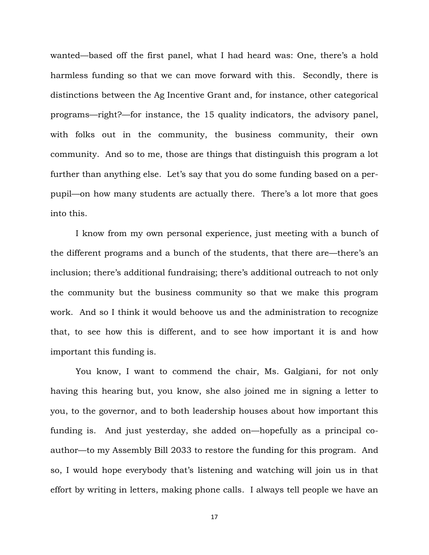wanted—based off the first panel, what I had heard was: One, there's a hold harmless funding so that we can move forward with this. Secondly, there is distinctions between the Ag Incentive Grant and, for instance, other categorical programs—right?—for instance, the 15 quality indicators, the advisory panel, with folks out in the community, the business community, their own community. And so to me, those are things that distinguish this program a lot further than anything else. Let's say that you do some funding based on a perpupil—on how many students are actually there. There's a lot more that goes into this.

I know from my own personal experience, just meeting with a bunch of the different programs and a bunch of the students, that there are—there's an inclusion; there's additional fundraising; there's additional outreach to not only the community but the business community so that we make this program work. And so I think it would behoove us and the administration to recognize that, to see how this is different, and to see how important it is and how important this funding is.

You know, I want to commend the chair, Ms. Galgiani, for not only having this hearing but, you know, she also joined me in signing a letter to you, to the governor, and to both leadership houses about how important this funding is. And just yesterday, she added on—hopefully as a principal coauthor—to my Assembly Bill 2033 to restore the funding for this program. And so, I would hope everybody that's listening and watching will join us in that effort by writing in letters, making phone calls. I always tell people we have an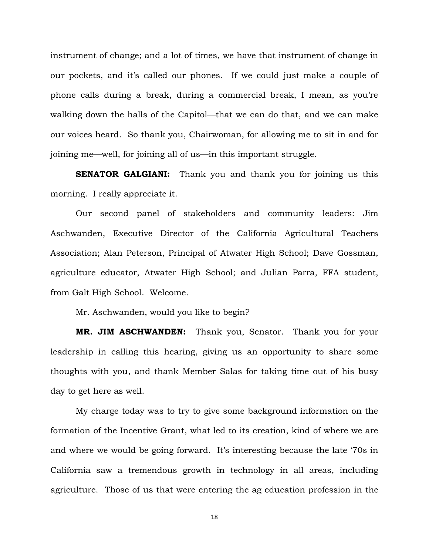instrument of change; and a lot of times, we have that instrument of change in our pockets, and it's called our phones. If we could just make a couple of phone calls during a break, during a commercial break, I mean, as you're walking down the halls of the Capitol—that we can do that, and we can make our voices heard. So thank you, Chairwoman, for allowing me to sit in and for joining me—well, for joining all of us—in this important struggle.

**SENATOR GALGIANI:** Thank you and thank you for joining us this morning. I really appreciate it.

Our second panel of stakeholders and community leaders: Jim Aschwanden, Executive Director of the California Agricultural Teachers Association; Alan Peterson, Principal of Atwater High School; Dave Gossman, agriculture educator, Atwater High School; and Julian Parra, FFA student, from Galt High School. Welcome.

Mr. Aschwanden, would you like to begin?

**MR. JIM ASCHWANDEN:** Thank you, Senator. Thank you for your leadership in calling this hearing, giving us an opportunity to share some thoughts with you, and thank Member Salas for taking time out of his busy day to get here as well.

My charge today was to try to give some background information on the formation of the Incentive Grant, what led to its creation, kind of where we are and where we would be going forward. It's interesting because the late '70s in California saw a tremendous growth in technology in all areas, including agriculture. Those of us that were entering the ag education profession in the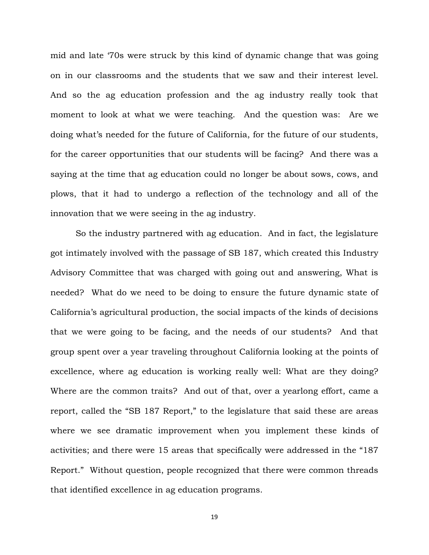mid and late '70s were struck by this kind of dynamic change that was going on in our classrooms and the students that we saw and their interest level. And so the ag education profession and the ag industry really took that moment to look at what we were teaching. And the question was: Are we doing what's needed for the future of California, for the future of our students, for the career opportunities that our students will be facing? And there was a saying at the time that ag education could no longer be about sows, cows, and plows, that it had to undergo a reflection of the technology and all of the innovation that we were seeing in the ag industry.

So the industry partnered with ag education. And in fact, the legislature got intimately involved with the passage of SB 187, which created this Industry Advisory Committee that was charged with going out and answering, What is needed? What do we need to be doing to ensure the future dynamic state of California's agricultural production, the social impacts of the kinds of decisions that we were going to be facing, and the needs of our students? And that group spent over a year traveling throughout California looking at the points of excellence, where ag education is working really well: What are they doing? Where are the common traits? And out of that, over a yearlong effort, came a report, called the "SB 187 Report," to the legislature that said these are areas where we see dramatic improvement when you implement these kinds of activities; and there were 15 areas that specifically were addressed in the "187 Report." Without question, people recognized that there were common threads that identified excellence in ag education programs.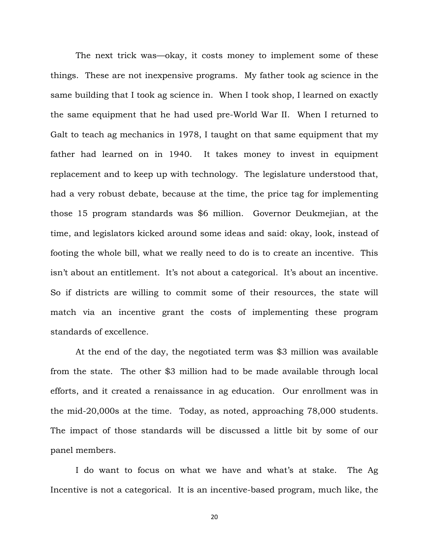The next trick was—okay, it costs money to implement some of these things. These are not inexpensive programs. My father took ag science in the same building that I took ag science in. When I took shop, I learned on exactly the same equipment that he had used pre-World War II. When I returned to Galt to teach ag mechanics in 1978, I taught on that same equipment that my father had learned on in 1940. It takes money to invest in equipment replacement and to keep up with technology. The legislature understood that, had a very robust debate, because at the time, the price tag for implementing those 15 program standards was \$6 million. Governor Deukmejian, at the time, and legislators kicked around some ideas and said: okay, look, instead of footing the whole bill, what we really need to do is to create an incentive. This isn't about an entitlement. It's not about a categorical. It's about an incentive. So if districts are willing to commit some of their resources, the state will match via an incentive grant the costs of implementing these program standards of excellence.

At the end of the day, the negotiated term was \$3 million was available from the state. The other \$3 million had to be made available through local efforts, and it created a renaissance in ag education. Our enrollment was in the mid-20,000s at the time. Today, as noted, approaching 78,000 students. The impact of those standards will be discussed a little bit by some of our panel members.

I do want to focus on what we have and what's at stake. The Ag Incentive is not a categorical. It is an incentive-based program, much like, the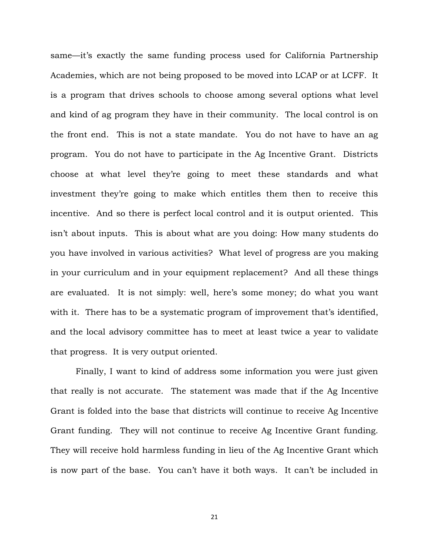same—it's exactly the same funding process used for California Partnership Academies, which are not being proposed to be moved into LCAP or at LCFF. It is a program that drives schools to choose among several options what level and kind of ag program they have in their community. The local control is on the front end. This is not a state mandate. You do not have to have an ag program. You do not have to participate in the Ag Incentive Grant. Districts choose at what level they're going to meet these standards and what investment they're going to make which entitles them then to receive this incentive. And so there is perfect local control and it is output oriented. This isn't about inputs. This is about what are you doing: How many students do you have involved in various activities? What level of progress are you making in your curriculum and in your equipment replacement? And all these things are evaluated. It is not simply: well, here's some money; do what you want with it. There has to be a systematic program of improvement that's identified, and the local advisory committee has to meet at least twice a year to validate that progress. It is very output oriented.

Finally, I want to kind of address some information you were just given that really is not accurate. The statement was made that if the Ag Incentive Grant is folded into the base that districts will continue to receive Ag Incentive Grant funding. They will not continue to receive Ag Incentive Grant funding. They will receive hold harmless funding in lieu of the Ag Incentive Grant which is now part of the base. You can't have it both ways. It can't be included in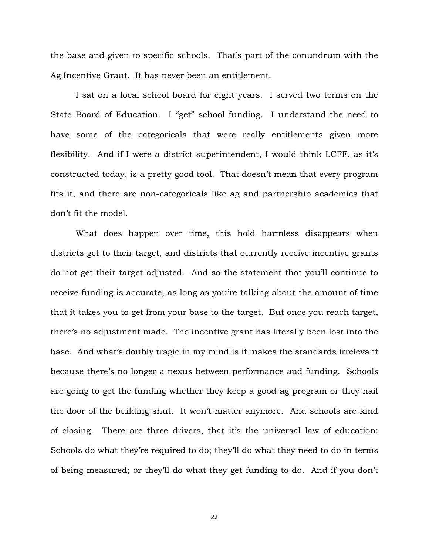the base and given to specific schools. That's part of the conundrum with the Ag Incentive Grant. It has never been an entitlement.

I sat on a local school board for eight years. I served two terms on the State Board of Education. I "get" school funding. I understand the need to have some of the categoricals that were really entitlements given more flexibility. And if I were a district superintendent, I would think LCFF, as it's constructed today, is a pretty good tool. That doesn't mean that every program fits it, and there are non-categoricals like ag and partnership academies that don't fit the model.

What does happen over time, this hold harmless disappears when districts get to their target, and districts that currently receive incentive grants do not get their target adjusted. And so the statement that you'll continue to receive funding is accurate, as long as you're talking about the amount of time that it takes you to get from your base to the target. But once you reach target, there's no adjustment made. The incentive grant has literally been lost into the base. And what's doubly tragic in my mind is it makes the standards irrelevant because there's no longer a nexus between performance and funding. Schools are going to get the funding whether they keep a good ag program or they nail the door of the building shut. It won't matter anymore. And schools are kind of closing. There are three drivers, that it's the universal law of education: Schools do what they're required to do; they'll do what they need to do in terms of being measured; or they'll do what they get funding to do. And if you don't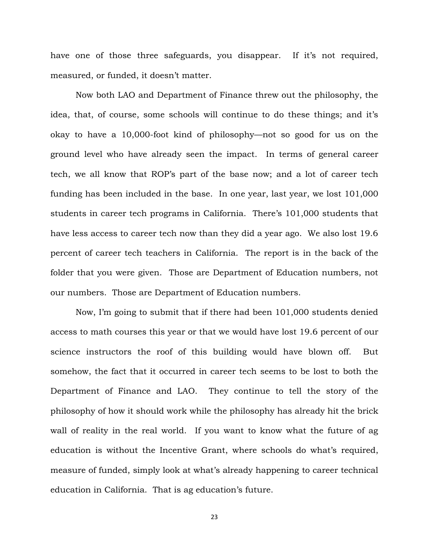have one of those three safeguards, you disappear. If it's not required, measured, or funded, it doesn't matter.

Now both LAO and Department of Finance threw out the philosophy, the idea, that, of course, some schools will continue to do these things; and it's okay to have a 10,000-foot kind of philosophy—not so good for us on the ground level who have already seen the impact. In terms of general career tech, we all know that ROP's part of the base now; and a lot of career tech funding has been included in the base. In one year, last year, we lost 101,000 students in career tech programs in California. There's 101,000 students that have less access to career tech now than they did a year ago. We also lost 19.6 percent of career tech teachers in California. The report is in the back of the folder that you were given. Those are Department of Education numbers, not our numbers. Those are Department of Education numbers.

Now, I'm going to submit that if there had been 101,000 students denied access to math courses this year or that we would have lost 19.6 percent of our science instructors the roof of this building would have blown off. But somehow, the fact that it occurred in career tech seems to be lost to both the Department of Finance and LAO. They continue to tell the story of the philosophy of how it should work while the philosophy has already hit the brick wall of reality in the real world. If you want to know what the future of ag education is without the Incentive Grant, where schools do what's required, measure of funded, simply look at what's already happening to career technical education in California. That is ag education's future.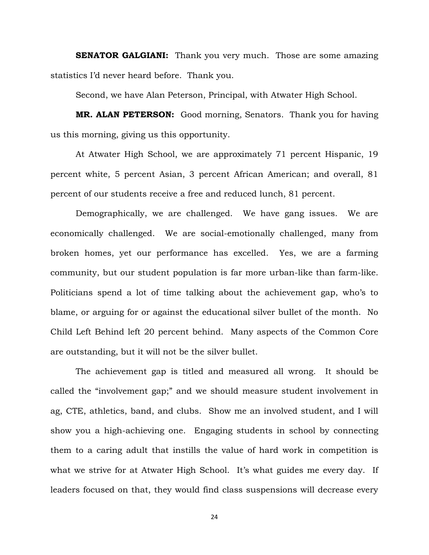**SENATOR GALGIANI:** Thank you very much. Those are some amazing statistics I'd never heard before. Thank you.

Second, we have Alan Peterson, Principal, with Atwater High School.

**MR. ALAN PETERSON:** Good morning, Senators. Thank you for having us this morning, giving us this opportunity.

At Atwater High School, we are approximately 71 percent Hispanic, 19 percent white, 5 percent Asian, 3 percent African American; and overall, 81 percent of our students receive a free and reduced lunch, 81 percent.

Demographically, we are challenged. We have gang issues. We are economically challenged. We are social-emotionally challenged, many from broken homes, yet our performance has excelled. Yes, we are a farming community, but our student population is far more urban-like than farm-like. Politicians spend a lot of time talking about the achievement gap, who's to blame, or arguing for or against the educational silver bullet of the month. No Child Left Behind left 20 percent behind. Many aspects of the Common Core are outstanding, but it will not be the silver bullet.

The achievement gap is titled and measured all wrong. It should be called the "involvement gap;" and we should measure student involvement in ag, CTE, athletics, band, and clubs. Show me an involved student, and I will show you a high-achieving one. Engaging students in school by connecting them to a caring adult that instills the value of hard work in competition is what we strive for at Atwater High School. It's what guides me every day. If leaders focused on that, they would find class suspensions will decrease every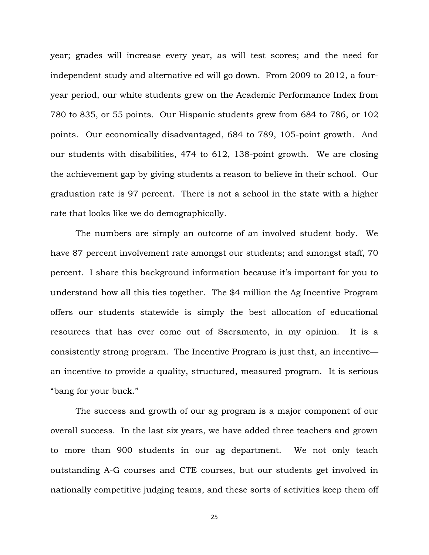year; grades will increase every year, as will test scores; and the need for independent study and alternative ed will go down. From 2009 to 2012, a fouryear period, our white students grew on the Academic Performance Index from 780 to 835, or 55 points. Our Hispanic students grew from 684 to 786, or 102 points. Our economically disadvantaged, 684 to 789, 105-point growth. And our students with disabilities, 474 to 612, 138-point growth. We are closing the achievement gap by giving students a reason to believe in their school. Our graduation rate is 97 percent. There is not a school in the state with a higher rate that looks like we do demographically.

The numbers are simply an outcome of an involved student body. We have 87 percent involvement rate amongst our students; and amongst staff, 70 percent. I share this background information because it's important for you to understand how all this ties together. The \$4 million the Ag Incentive Program offers our students statewide is simply the best allocation of educational resources that has ever come out of Sacramento, in my opinion. It is a consistently strong program. The Incentive Program is just that, an incentive an incentive to provide a quality, structured, measured program. It is serious "bang for your buck."

The success and growth of our ag program is a major component of our overall success. In the last six years, we have added three teachers and grown to more than 900 students in our ag department. We not only teach outstanding A-G courses and CTE courses, but our students get involved in nationally competitive judging teams, and these sorts of activities keep them off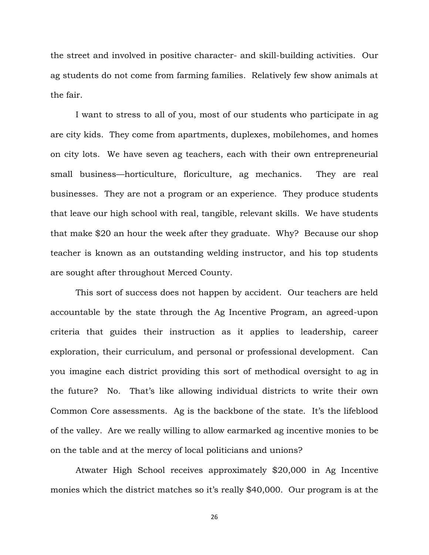the street and involved in positive character- and skill-building activities. Our ag students do not come from farming families. Relatively few show animals at the fair.

I want to stress to all of you, most of our students who participate in ag are city kids. They come from apartments, duplexes, mobilehomes, and homes on city lots. We have seven ag teachers, each with their own entrepreneurial small business—horticulture, floriculture, ag mechanics. They are real businesses. They are not a program or an experience. They produce students that leave our high school with real, tangible, relevant skills. We have students that make \$20 an hour the week after they graduate. Why? Because our shop teacher is known as an outstanding welding instructor, and his top students are sought after throughout Merced County.

This sort of success does not happen by accident. Our teachers are held accountable by the state through the Ag Incentive Program, an agreed-upon criteria that guides their instruction as it applies to leadership, career exploration, their curriculum, and personal or professional development. Can you imagine each district providing this sort of methodical oversight to ag in the future? No. That's like allowing individual districts to write their own Common Core assessments. Ag is the backbone of the state. It's the lifeblood of the valley. Are we really willing to allow earmarked ag incentive monies to be on the table and at the mercy of local politicians and unions?

Atwater High School receives approximately \$20,000 in Ag Incentive monies which the district matches so it's really \$40,000. Our program is at the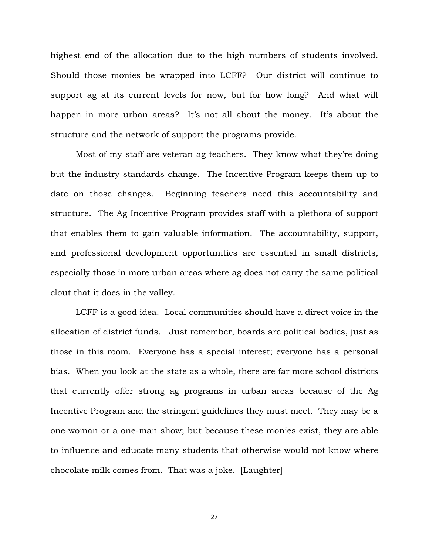highest end of the allocation due to the high numbers of students involved. Should those monies be wrapped into LCFF? Our district will continue to support ag at its current levels for now, but for how long? And what will happen in more urban areas? It's not all about the money. It's about the structure and the network of support the programs provide.

Most of my staff are veteran ag teachers. They know what they're doing but the industry standards change. The Incentive Program keeps them up to date on those changes. Beginning teachers need this accountability and structure. The Ag Incentive Program provides staff with a plethora of support that enables them to gain valuable information. The accountability, support, and professional development opportunities are essential in small districts, especially those in more urban areas where ag does not carry the same political clout that it does in the valley.

LCFF is a good idea. Local communities should have a direct voice in the allocation of district funds. Just remember, boards are political bodies, just as those in this room. Everyone has a special interest; everyone has a personal bias. When you look at the state as a whole, there are far more school districts that currently offer strong ag programs in urban areas because of the Ag Incentive Program and the stringent guidelines they must meet. They may be a one-woman or a one-man show; but because these monies exist, they are able to influence and educate many students that otherwise would not know where chocolate milk comes from. That was a joke. [Laughter]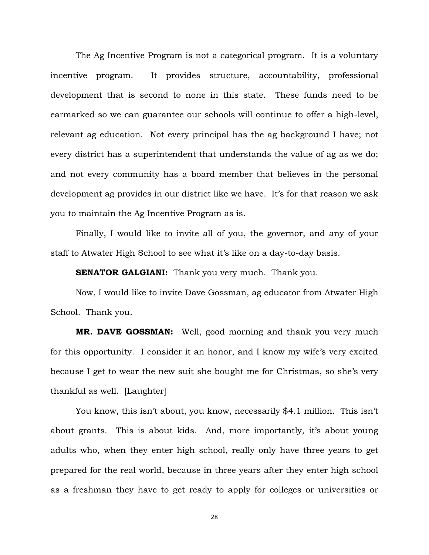The Ag Incentive Program is not a categorical program. It is a voluntary incentive program. It provides structure, accountability, professional development that is second to none in this state. These funds need to be earmarked so we can guarantee our schools will continue to offer a high-level, relevant ag education. Not every principal has the ag background I have; not every district has a superintendent that understands the value of ag as we do; and not every community has a board member that believes in the personal development ag provides in our district like we have. It's for that reason we ask you to maintain the Ag Incentive Program as is.

Finally, I would like to invite all of you, the governor, and any of your staff to Atwater High School to see what it's like on a day-to-day basis.

**SENATOR GALGIANI:** Thank you very much. Thank you.

Now, I would like to invite Dave Gossman, ag educator from Atwater High School. Thank you.

**MR. DAVE GOSSMAN:** Well, good morning and thank you very much for this opportunity. I consider it an honor, and I know my wife's very excited because I get to wear the new suit she bought me for Christmas, so she's very thankful as well. [Laughter]

You know, this isn't about, you know, necessarily \$4.1 million. This isn't about grants. This is about kids. And, more importantly, it's about young adults who, when they enter high school, really only have three years to get prepared for the real world, because in three years after they enter high school as a freshman they have to get ready to apply for colleges or universities or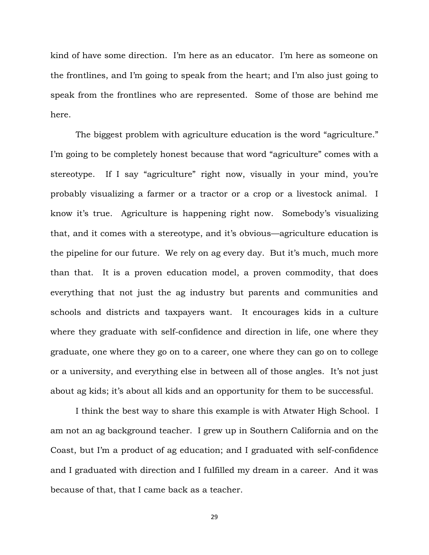kind of have some direction. I'm here as an educator. I'm here as someone on the frontlines, and I'm going to speak from the heart; and I'm also just going to speak from the frontlines who are represented. Some of those are behind me here.

The biggest problem with agriculture education is the word "agriculture." I'm going to be completely honest because that word "agriculture" comes with a stereotype. If I say "agriculture" right now, visually in your mind, you're probably visualizing a farmer or a tractor or a crop or a livestock animal. I know it's true. Agriculture is happening right now. Somebody's visualizing that, and it comes with a stereotype, and it's obvious—agriculture education is the pipeline for our future. We rely on ag every day. But it's much, much more than that. It is a proven education model, a proven commodity, that does everything that not just the ag industry but parents and communities and schools and districts and taxpayers want. It encourages kids in a culture where they graduate with self-confidence and direction in life, one where they graduate, one where they go on to a career, one where they can go on to college or a university, and everything else in between all of those angles. It's not just about ag kids; it's about all kids and an opportunity for them to be successful.

I think the best way to share this example is with Atwater High School. I am not an ag background teacher. I grew up in Southern California and on the Coast, but I'm a product of ag education; and I graduated with self-confidence and I graduated with direction and I fulfilled my dream in a career. And it was because of that, that I came back as a teacher.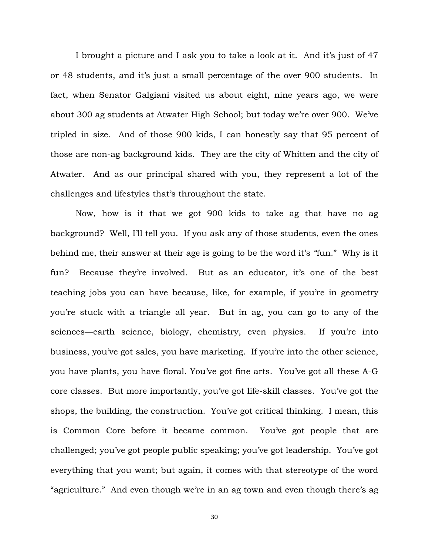I brought a picture and I ask you to take a look at it. And it's just of 47 or 48 students, and it's just a small percentage of the over 900 students. In fact, when Senator Galgiani visited us about eight, nine years ago, we were about 300 ag students at Atwater High School; but today we're over 900. We've tripled in size. And of those 900 kids, I can honestly say that 95 percent of those are non-ag background kids. They are the city of Whitten and the city of Atwater. And as our principal shared with you, they represent a lot of the challenges and lifestyles that's throughout the state.

Now, how is it that we got 900 kids to take ag that have no ag background? Well, I'll tell you. If you ask any of those students, even the ones behind me, their answer at their age is going to be the word it's *"*fun." Why is it fun? Because they're involved. But as an educator, it's one of the best teaching jobs you can have because, like, for example, if you're in geometry you're stuck with a triangle all year. But in ag, you can go to any of the sciences—earth science, biology, chemistry, even physics. If you're into business, you've got sales, you have marketing. If you're into the other science, you have plants, you have floral. You've got fine arts. You've got all these A-G core classes. But more importantly, you've got life-skill classes. You've got the shops, the building, the construction. You've got critical thinking. I mean, this is Common Core before it became common. You've got people that are challenged; you've got people public speaking; you've got leadership. You've got everything that you want; but again, it comes with that stereotype of the word "agriculture." And even though we're in an ag town and even though there's ag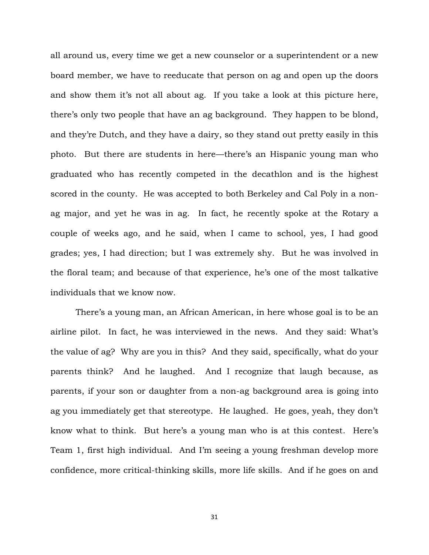all around us, every time we get a new counselor or a superintendent or a new board member, we have to reeducate that person on ag and open up the doors and show them it's not all about ag. If you take a look at this picture here, there's only two people that have an ag background. They happen to be blond, and they're Dutch, and they have a dairy, so they stand out pretty easily in this photo. But there are students in here—there's an Hispanic young man who graduated who has recently competed in the decathlon and is the highest scored in the county. He was accepted to both Berkeley and Cal Poly in a nonag major, and yet he was in ag. In fact, he recently spoke at the Rotary a couple of weeks ago, and he said, when I came to school, yes, I had good grades; yes, I had direction; but I was extremely shy. But he was involved in the floral team; and because of that experience, he's one of the most talkative individuals that we know now.

There's a young man, an African American, in here whose goal is to be an airline pilot. In fact, he was interviewed in the news. And they said: What's the value of ag? Why are you in this? And they said, specifically, what do your parents think? And he laughed. And I recognize that laugh because, as parents, if your son or daughter from a non-ag background area is going into ag you immediately get that stereotype. He laughed. He goes, yeah, they don't know what to think. But here's a young man who is at this contest. Here's Team 1, first high individual. And I'm seeing a young freshman develop more confidence, more critical-thinking skills, more life skills. And if he goes on and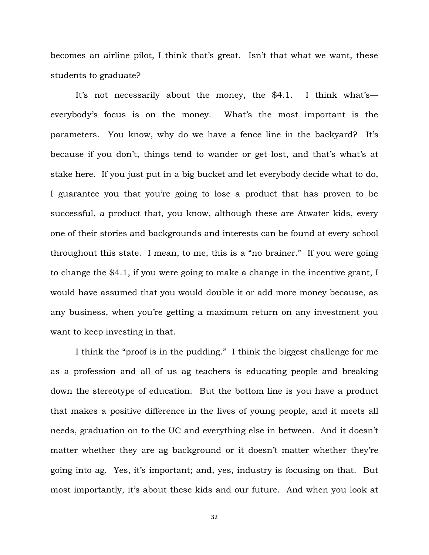becomes an airline pilot, I think that's great. Isn't that what we want, these students to graduate?

It's not necessarily about the money, the \$4.1. I think what's everybody's focus is on the money. What's the most important is the parameters. You know, why do we have a fence line in the backyard? It's because if you don't, things tend to wander or get lost, and that's what's at stake here. If you just put in a big bucket and let everybody decide what to do, I guarantee you that you're going to lose a product that has proven to be successful, a product that, you know, although these are Atwater kids, every one of their stories and backgrounds and interests can be found at every school throughout this state. I mean, to me, this is a "no brainer." If you were going to change the \$4.1, if you were going to make a change in the incentive grant, I would have assumed that you would double it or add more money because, as any business, when you're getting a maximum return on any investment you want to keep investing in that.

I think the "proof is in the pudding." I think the biggest challenge for me as a profession and all of us ag teachers is educating people and breaking down the stereotype of education. But the bottom line is you have a product that makes a positive difference in the lives of young people, and it meets all needs, graduation on to the UC and everything else in between. And it doesn't matter whether they are ag background or it doesn't matter whether they're going into ag. Yes, it's important; and, yes, industry is focusing on that. But most importantly, it's about these kids and our future. And when you look at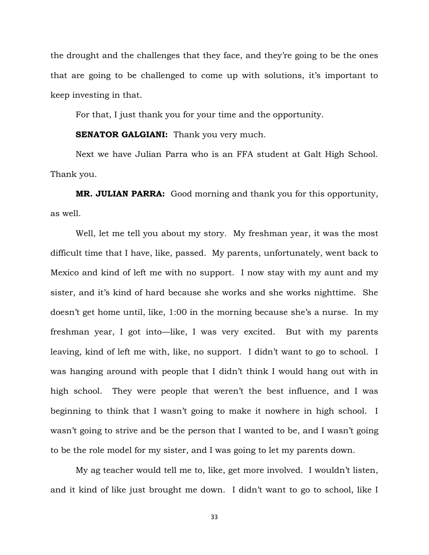the drought and the challenges that they face, and they're going to be the ones that are going to be challenged to come up with solutions, it's important to keep investing in that.

For that, I just thank you for your time and the opportunity.

#### **SENATOR GALGIANI:** Thank you very much.

Next we have Julian Parra who is an FFA student at Galt High School. Thank you.

**MR. JULIAN PARRA:** Good morning and thank you for this opportunity, as well.

Well, let me tell you about my story. My freshman year, it was the most difficult time that I have, like, passed. My parents, unfortunately, went back to Mexico and kind of left me with no support. I now stay with my aunt and my sister, and it's kind of hard because she works and she works nighttime. She doesn't get home until, like, 1:00 in the morning because she's a nurse. In my freshman year, I got into—like, I was very excited. But with my parents leaving, kind of left me with, like, no support. I didn't want to go to school. I was hanging around with people that I didn't think I would hang out with in high school. They were people that weren't the best influence, and I was beginning to think that I wasn't going to make it nowhere in high school. I wasn't going to strive and be the person that I wanted to be, and I wasn't going to be the role model for my sister, and I was going to let my parents down.

My ag teacher would tell me to, like, get more involved. I wouldn't listen, and it kind of like just brought me down. I didn't want to go to school, like I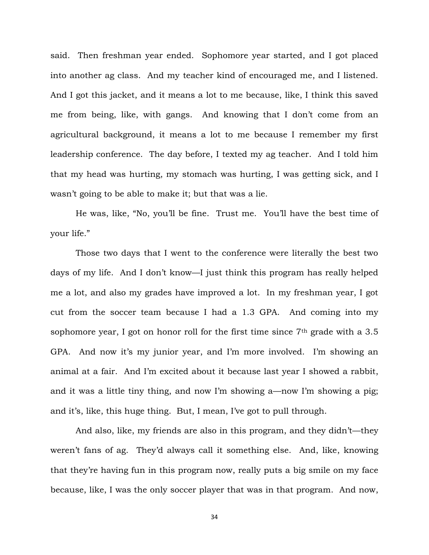said. Then freshman year ended. Sophomore year started, and I got placed into another ag class. And my teacher kind of encouraged me, and I listened. And I got this jacket, and it means a lot to me because, like, I think this saved me from being, like, with gangs. And knowing that I don't come from an agricultural background, it means a lot to me because I remember my first leadership conference. The day before, I texted my ag teacher. And I told him that my head was hurting, my stomach was hurting, I was getting sick, and I wasn't going to be able to make it; but that was a lie.

He was, like, "No, you'll be fine. Trust me. You'll have the best time of your life."

Those two days that I went to the conference were literally the best two days of my life. And I don't know—I just think this program has really helped me a lot, and also my grades have improved a lot. In my freshman year, I got cut from the soccer team because I had a 1.3 GPA. And coming into my sophomore year, I got on honor roll for the first time since  $7<sup>th</sup>$  grade with a 3.5 GPA. And now it's my junior year, and I'm more involved. I'm showing an animal at a fair. And I'm excited about it because last year I showed a rabbit, and it was a little tiny thing, and now I'm showing a—now I'm showing a pig; and it's, like, this huge thing. But, I mean, I've got to pull through.

And also, like, my friends are also in this program, and they didn't—they weren't fans of ag. They'd always call it something else. And, like, knowing that they're having fun in this program now, really puts a big smile on my face because, like, I was the only soccer player that was in that program. And now,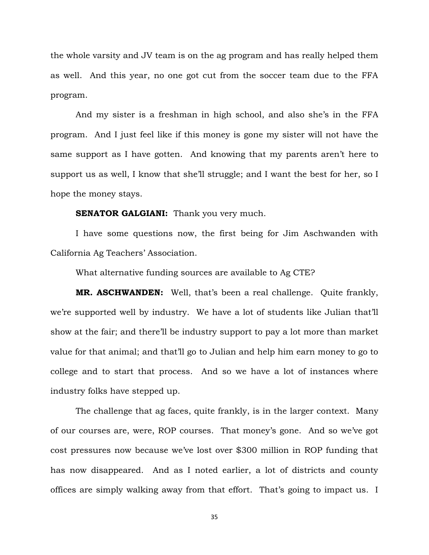the whole varsity and JV team is on the ag program and has really helped them as well. And this year, no one got cut from the soccer team due to the FFA program.

And my sister is a freshman in high school, and also she's in the FFA program. And I just feel like if this money is gone my sister will not have the same support as I have gotten. And knowing that my parents aren't here to support us as well, I know that she'll struggle; and I want the best for her, so I hope the money stays.

#### **SENATOR GALGIANI:** Thank you very much.

I have some questions now, the first being for Jim Aschwanden with California Ag Teachers' Association.

What alternative funding sources are available to Ag CTE?

**MR. ASCHWANDEN:** Well, that's been a real challenge. Quite frankly, we're supported well by industry. We have a lot of students like Julian that'll show at the fair; and there'll be industry support to pay a lot more than market value for that animal; and that'll go to Julian and help him earn money to go to college and to start that process. And so we have a lot of instances where industry folks have stepped up.

The challenge that ag faces, quite frankly, is in the larger context. Many of our courses are, were, ROP courses. That money's gone. And so we've got cost pressures now because we've lost over \$300 million in ROP funding that has now disappeared. And as I noted earlier, a lot of districts and county offices are simply walking away from that effort. That's going to impact us. I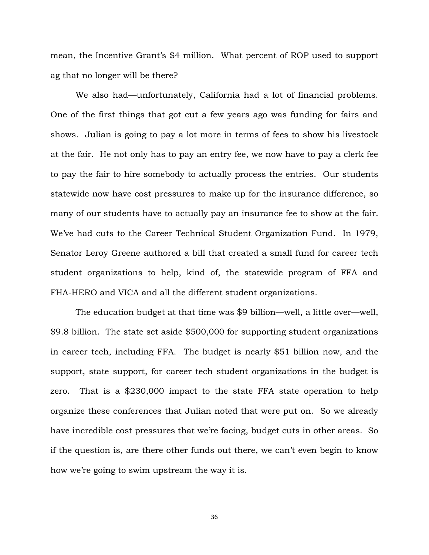mean, the Incentive Grant's \$4 million. What percent of ROP used to support ag that no longer will be there?

We also had—unfortunately, California had a lot of financial problems. One of the first things that got cut a few years ago was funding for fairs and shows. Julian is going to pay a lot more in terms of fees to show his livestock at the fair. He not only has to pay an entry fee, we now have to pay a clerk fee to pay the fair to hire somebody to actually process the entries. Our students statewide now have cost pressures to make up for the insurance difference, so many of our students have to actually pay an insurance fee to show at the fair. We've had cuts to the Career Technical Student Organization Fund. In 1979, Senator Leroy Greene authored a bill that created a small fund for career tech student organizations to help, kind of, the statewide program of FFA and FHA-HERO and VICA and all the different student organizations.

The education budget at that time was \$9 billion—well, a little over—well, \$9.8 billion. The state set aside \$500,000 for supporting student organizations in career tech, including FFA. The budget is nearly \$51 billion now, and the support, state support, for career tech student organizations in the budget is zero. That is a \$230,000 impact to the state FFA state operation to help organize these conferences that Julian noted that were put on. So we already have incredible cost pressures that we're facing, budget cuts in other areas. So if the question is, are there other funds out there, we can't even begin to know how we're going to swim upstream the way it is.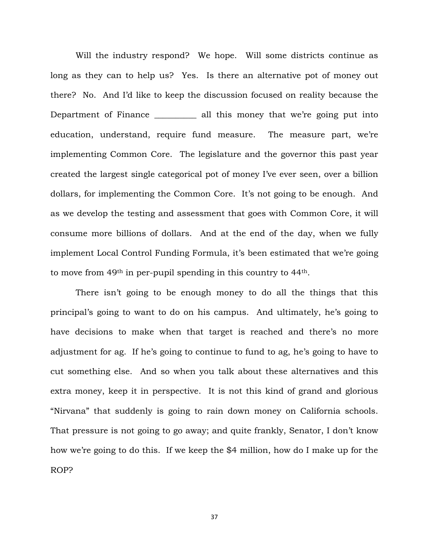Will the industry respond? We hope. Will some districts continue as long as they can to help us? Yes. Is there an alternative pot of money out there? No. And I'd like to keep the discussion focused on reality because the Department of Finance \_\_\_\_\_\_\_\_\_\_ all this money that we're going put into education, understand, require fund measure. The measure part, we're implementing Common Core. The legislature and the governor this past year created the largest single categorical pot of money I've ever seen, over a billion dollars, for implementing the Common Core. It's not going to be enough. And as we develop the testing and assessment that goes with Common Core, it will consume more billions of dollars. And at the end of the day, when we fully implement Local Control Funding Formula, it's been estimated that we're going to move from 49th in per-pupil spending in this country to 44th.

There isn't going to be enough money to do all the things that this principal's going to want to do on his campus. And ultimately, he's going to have decisions to make when that target is reached and there's no more adjustment for ag. If he's going to continue to fund to ag, he's going to have to cut something else. And so when you talk about these alternatives and this extra money, keep it in perspective. It is not this kind of grand and glorious "Nirvana" that suddenly is going to rain down money on California schools. That pressure is not going to go away; and quite frankly, Senator, I don't know how we're going to do this. If we keep the \$4 million, how do I make up for the ROP?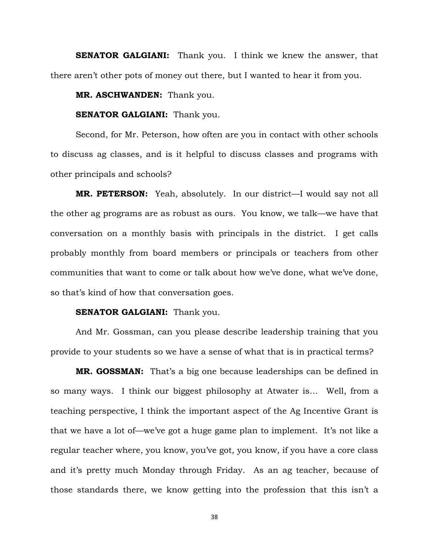**SENATOR GALGIANI:** Thank you. I think we knew the answer, that there aren't other pots of money out there, but I wanted to hear it from you.

**MR. ASCHWANDEN:** Thank you.

## **SENATOR GALGIANI:** Thank you.

Second, for Mr. Peterson, how often are you in contact with other schools to discuss ag classes, and is it helpful to discuss classes and programs with other principals and schools?

**MR. PETERSON:** Yeah, absolutely. In our district—I would say not all the other ag programs are as robust as ours. You know, we talk—we have that conversation on a monthly basis with principals in the district. I get calls probably monthly from board members or principals or teachers from other communities that want to come or talk about how we've done, what we've done, so that's kind of how that conversation goes.

## **SENATOR GALGIANI:** Thank you.

And Mr. Gossman, can you please describe leadership training that you provide to your students so we have a sense of what that is in practical terms?

**MR. GOSSMAN:** That's a big one because leaderships can be defined in so many ways. I think our biggest philosophy at Atwater is… Well, from a teaching perspective, I think the important aspect of the Ag Incentive Grant is that we have a lot of—we've got a huge game plan to implement. It's not like a regular teacher where, you know, you've got, you know, if you have a core class and it's pretty much Monday through Friday. As an ag teacher, because of those standards there, we know getting into the profession that this isn't a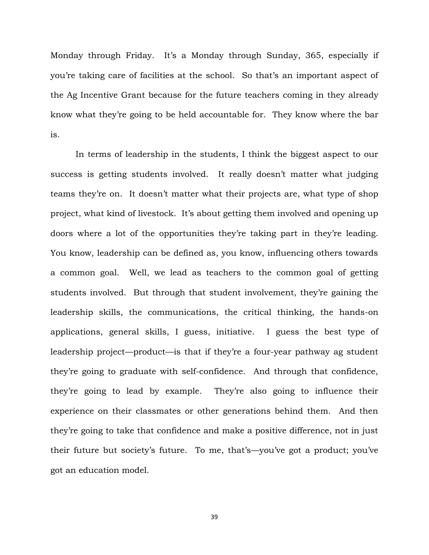Monday through Friday. It's a Monday through Sunday, 365, especially if you're taking care of facilities at the school. So that's an important aspect of the Ag Incentive Grant because for the future teachers coming in they already know what they're going to be held accountable for. They know where the bar is.

In terms of leadership in the students, I think the biggest aspect to our success is getting students involved. It really doesn't matter what judging teams they're on. It doesn't matter what their projects are, what type of shop project, what kind of livestock. It's about getting them involved and opening up doors where a lot of the opportunities they're taking part in they're leading. You know, leadership can be defined as, you know, influencing others towards a common goal. Well, we lead as teachers to the common goal of getting students involved. But through that student involvement, they're gaining the leadership skills, the communications, the critical thinking, the hands-on applications, general skills, I guess, initiative. I guess the best type of leadership project—product—is that if they're a four-year pathway ag student they're going to graduate with self-confidence. And through that confidence, they're going to lead by example. They're also going to influence their experience on their classmates or other generations behind them. And then they're going to take that confidence and make a positive difference, not in just their future but society's future. To me, that's—you've got a product; you've got an education model.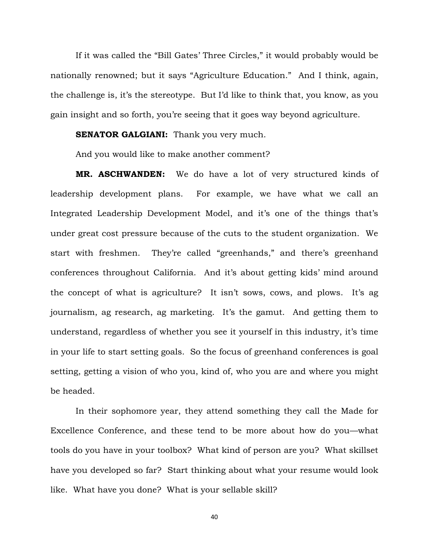If it was called the "Bill Gates' Three Circles," it would probably would be nationally renowned; but it says "Agriculture Education." And I think, again, the challenge is, it's the stereotype. But I'd like to think that, you know, as you gain insight and so forth, you're seeing that it goes way beyond agriculture.

#### **SENATOR GALGIANI:** Thank you very much.

And you would like to make another comment?

**MR. ASCHWANDEN:** We do have a lot of very structured kinds of leadership development plans. For example, we have what we call an Integrated Leadership Development Model, and it's one of the things that's under great cost pressure because of the cuts to the student organization. We start with freshmen. They're called "greenhands," and there's greenhand conferences throughout California. And it's about getting kids' mind around the concept of what is agriculture? It isn't sows, cows, and plows. It's ag journalism, ag research, ag marketing. It's the gamut. And getting them to understand, regardless of whether you see it yourself in this industry, it's time in your life to start setting goals. So the focus of greenhand conferences is goal setting, getting a vision of who you, kind of, who you are and where you might be headed.

In their sophomore year, they attend something they call the Made for Excellence Conference, and these tend to be more about how do you—what tools do you have in your toolbox? What kind of person are you? What skillset have you developed so far? Start thinking about what your resume would look like. What have you done? What is your sellable skill?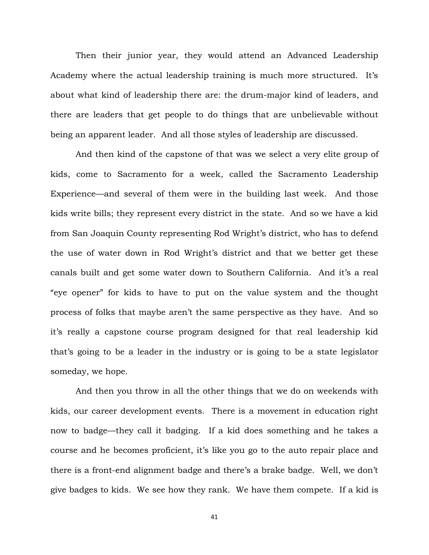Then their junior year, they would attend an Advanced Leadership Academy where the actual leadership training is much more structured. It's about what kind of leadership there are: the drum-major kind of leaders, and there are leaders that get people to do things that are unbelievable without being an apparent leader. And all those styles of leadership are discussed.

And then kind of the capstone of that was we select a very elite group of kids, come to Sacramento for a week, called the Sacramento Leadership Experience—and several of them were in the building last week. And those kids write bills; they represent every district in the state. And so we have a kid from San Joaquin County representing Rod Wright's district, who has to defend the use of water down in Rod Wright's district and that we better get these canals built and get some water down to Southern California. And it's a real "eye opener" for kids to have to put on the value system and the thought process of folks that maybe aren't the same perspective as they have. And so it's really a capstone course program designed for that real leadership kid that's going to be a leader in the industry or is going to be a state legislator someday, we hope.

And then you throw in all the other things that we do on weekends with kids, our career development events. There is a movement in education right now to badge—they call it badging. If a kid does something and he takes a course and he becomes proficient, it's like you go to the auto repair place and there is a front-end alignment badge and there's a brake badge. Well, we don't give badges to kids. We see how they rank. We have them compete. If a kid is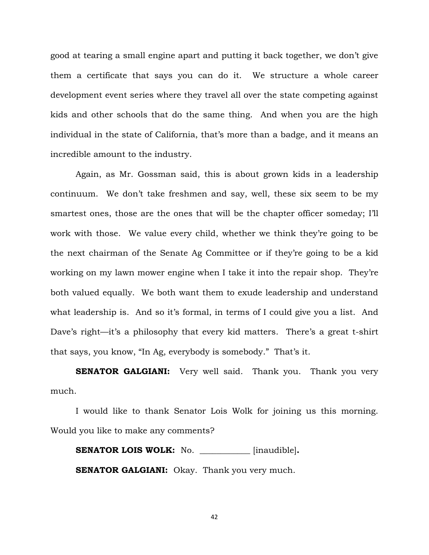good at tearing a small engine apart and putting it back together, we don't give them a certificate that says you can do it. We structure a whole career development event series where they travel all over the state competing against kids and other schools that do the same thing. And when you are the high individual in the state of California, that's more than a badge, and it means an incredible amount to the industry.

Again, as Mr. Gossman said, this is about grown kids in a leadership continuum. We don't take freshmen and say, well, these six seem to be my smartest ones, those are the ones that will be the chapter officer someday; I'll work with those. We value every child, whether we think they're going to be the next chairman of the Senate Ag Committee or if they're going to be a kid working on my lawn mower engine when I take it into the repair shop. They're both valued equally. We both want them to exude leadership and understand what leadership is. And so it's formal, in terms of I could give you a list. And Dave's right—it's a philosophy that every kid matters. There's a great t-shirt that says, you know, "In Ag, everybody is somebody." That's it.

**SENATOR GALGIANI:** Very well said. Thank you. Thank you very much.

I would like to thank Senator Lois Wolk for joining us this morning. Would you like to make any comments?

**SENATOR LOIS WOLK:** No. **\_\_\_\_\_\_\_\_\_\_\_\_** [inaudible]**. SENATOR GALGIANI:** Okay. Thank you very much.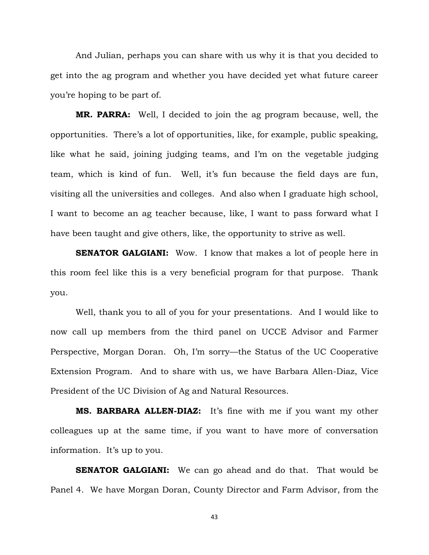And Julian, perhaps you can share with us why it is that you decided to get into the ag program and whether you have decided yet what future career you're hoping to be part of.

**MR. PARRA:** Well, I decided to join the ag program because, well, the opportunities. There's a lot of opportunities, like, for example, public speaking, like what he said, joining judging teams, and I'm on the vegetable judging team, which is kind of fun. Well, it's fun because the field days are fun, visiting all the universities and colleges. And also when I graduate high school, I want to become an ag teacher because, like, I want to pass forward what I have been taught and give others, like, the opportunity to strive as well.

**SENATOR GALGIANI:** Wow. I know that makes a lot of people here in this room feel like this is a very beneficial program for that purpose. Thank you.

Well, thank you to all of you for your presentations. And I would like to now call up members from the third panel on UCCE Advisor and Farmer Perspective, Morgan Doran. Oh, I'm sorry—the Status of the UC Cooperative Extension Program. And to share with us, we have Barbara Allen-Diaz, Vice President of the UC Division of Ag and Natural Resources.

**MS. BARBARA ALLEN-DIAZ:** It's fine with me if you want my other colleagues up at the same time, if you want to have more of conversation information. It's up to you.

**SENATOR GALGIANI:** We can go ahead and do that. That would be Panel 4. We have Morgan Doran, County Director and Farm Advisor, from the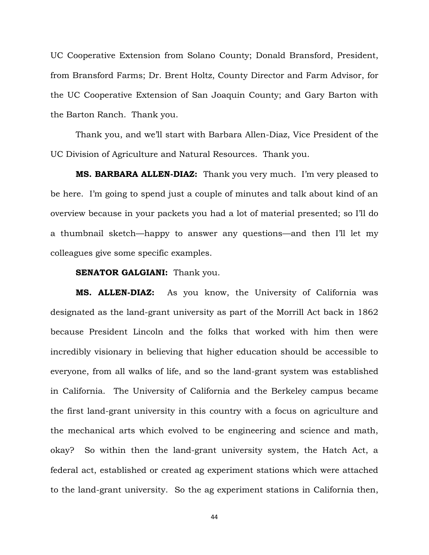UC Cooperative Extension from Solano County; Donald Bransford, President, from Bransford Farms; Dr. Brent Holtz, County Director and Farm Advisor, for the UC Cooperative Extension of San Joaquin County; and Gary Barton with the Barton Ranch. Thank you.

Thank you, and we'll start with Barbara Allen-Diaz, Vice President of the UC Division of Agriculture and Natural Resources. Thank you.

**MS. BARBARA ALLEN-DIAZ:** Thank you very much. I'm very pleased to be here. I'm going to spend just a couple of minutes and talk about kind of an overview because in your packets you had a lot of material presented; so I'll do a thumbnail sketch—happy to answer any questions—and then I'll let my colleagues give some specific examples.

#### **SENATOR GALGIANI:** Thank you.

**MS. ALLEN-DIAZ:** As you know, the University of California was designated as the land-grant university as part of the Morrill Act back in 1862 because President Lincoln and the folks that worked with him then were incredibly visionary in believing that higher education should be accessible to everyone, from all walks of life, and so the land-grant system was established in California. The University of California and the Berkeley campus became the first land-grant university in this country with a focus on agriculture and the mechanical arts which evolved to be engineering and science and math, okay? So within then the land-grant university system, the Hatch Act, a federal act, established or created ag experiment stations which were attached to the land-grant university. So the ag experiment stations in California then,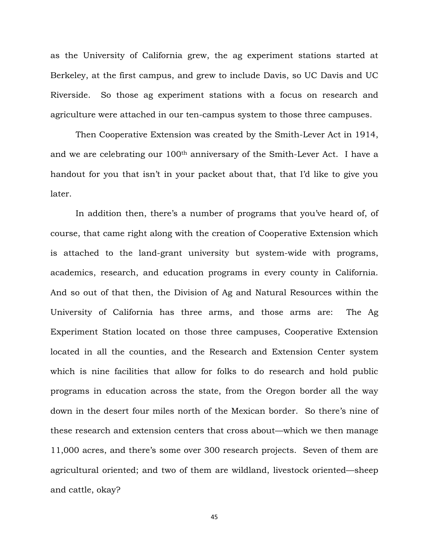as the University of California grew, the ag experiment stations started at Berkeley, at the first campus, and grew to include Davis, so UC Davis and UC Riverside. So those ag experiment stations with a focus on research and agriculture were attached in our ten-campus system to those three campuses.

Then Cooperative Extension was created by the Smith-Lever Act in 1914, and we are celebrating our 100th anniversary of the Smith-Lever Act. I have a handout for you that isn't in your packet about that, that I'd like to give you later.

In addition then, there's a number of programs that you've heard of, of course, that came right along with the creation of Cooperative Extension which is attached to the land-grant university but system-wide with programs, academics, research, and education programs in every county in California. And so out of that then, the Division of Ag and Natural Resources within the University of California has three arms, and those arms are: The Ag Experiment Station located on those three campuses, Cooperative Extension located in all the counties, and the Research and Extension Center system which is nine facilities that allow for folks to do research and hold public programs in education across the state, from the Oregon border all the way down in the desert four miles north of the Mexican border. So there's nine of these research and extension centers that cross about—which we then manage 11,000 acres, and there's some over 300 research projects. Seven of them are agricultural oriented; and two of them are wildland, livestock oriented—sheep and cattle, okay?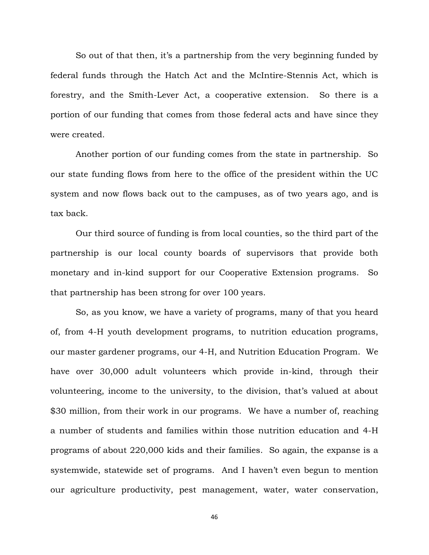So out of that then, it's a partnership from the very beginning funded by federal funds through the Hatch Act and the McIntire-Stennis Act, which is forestry, and the Smith-Lever Act, a cooperative extension. So there is a portion of our funding that comes from those federal acts and have since they were created.

Another portion of our funding comes from the state in partnership. So our state funding flows from here to the office of the president within the UC system and now flows back out to the campuses, as of two years ago, and is tax back.

Our third source of funding is from local counties, so the third part of the partnership is our local county boards of supervisors that provide both monetary and in-kind support for our Cooperative Extension programs. So that partnership has been strong for over 100 years.

So, as you know, we have a variety of programs, many of that you heard of, from 4-H youth development programs, to nutrition education programs, our master gardener programs, our 4-H, and Nutrition Education Program. We have over 30,000 adult volunteers which provide in-kind, through their volunteering, income to the university, to the division, that's valued at about \$30 million, from their work in our programs. We have a number of, reaching a number of students and families within those nutrition education and 4-H programs of about 220,000 kids and their families. So again, the expanse is a systemwide, statewide set of programs. And I haven't even begun to mention our agriculture productivity, pest management, water, water conservation,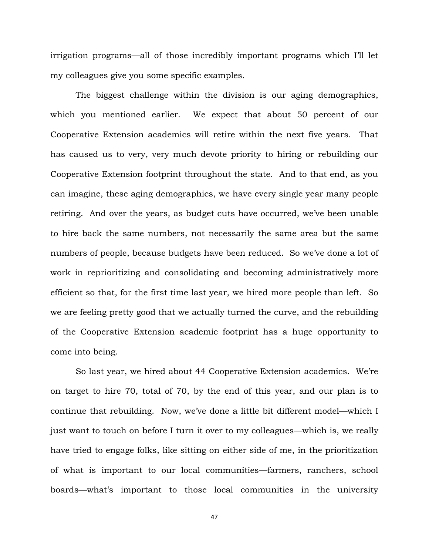irrigation programs—all of those incredibly important programs which I'll let my colleagues give you some specific examples.

The biggest challenge within the division is our aging demographics, which you mentioned earlier. We expect that about 50 percent of our Cooperative Extension academics will retire within the next five years. That has caused us to very, very much devote priority to hiring or rebuilding our Cooperative Extension footprint throughout the state. And to that end, as you can imagine, these aging demographics, we have every single year many people retiring. And over the years, as budget cuts have occurred, we've been unable to hire back the same numbers, not necessarily the same area but the same numbers of people, because budgets have been reduced. So we've done a lot of work in reprioritizing and consolidating and becoming administratively more efficient so that, for the first time last year, we hired more people than left. So we are feeling pretty good that we actually turned the curve, and the rebuilding of the Cooperative Extension academic footprint has a huge opportunity to come into being.

So last year, we hired about 44 Cooperative Extension academics. We're on target to hire 70, total of 70, by the end of this year, and our plan is to continue that rebuilding. Now, we've done a little bit different model—which I just want to touch on before I turn it over to my colleagues—which is, we really have tried to engage folks, like sitting on either side of me, in the prioritization of what is important to our local communities—farmers, ranchers, school boards—what's important to those local communities in the university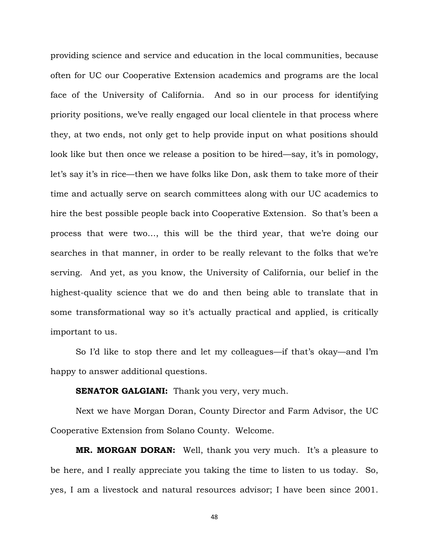providing science and service and education in the local communities, because often for UC our Cooperative Extension academics and programs are the local face of the University of California. And so in our process for identifying priority positions, we've really engaged our local clientele in that process where they, at two ends, not only get to help provide input on what positions should look like but then once we release a position to be hired—say, it's in pomology, let's say it's in rice—then we have folks like Don, ask them to take more of their time and actually serve on search committees along with our UC academics to hire the best possible people back into Cooperative Extension. So that's been a process that were two…, this will be the third year, that we're doing our searches in that manner, in order to be really relevant to the folks that we're serving. And yet, as you know, the University of California, our belief in the highest-quality science that we do and then being able to translate that in some transformational way so it's actually practical and applied, is critically important to us.

So I'd like to stop there and let my colleagues—if that's okay—and I'm happy to answer additional questions.

**SENATOR GALGIANI:** Thank you very, very much.

Next we have Morgan Doran, County Director and Farm Advisor, the UC Cooperative Extension from Solano County. Welcome.

**MR. MORGAN DORAN:** Well, thank you very much. It's a pleasure to be here, and I really appreciate you taking the time to listen to us today. So, yes, I am a livestock and natural resources advisor; I have been since 2001.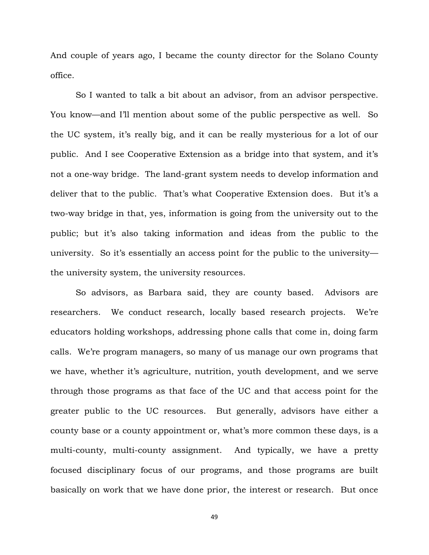And couple of years ago, I became the county director for the Solano County office.

So I wanted to talk a bit about an advisor, from an advisor perspective. You know—and I'll mention about some of the public perspective as well. So the UC system, it's really big, and it can be really mysterious for a lot of our public. And I see Cooperative Extension as a bridge into that system, and it's not a one-way bridge. The land-grant system needs to develop information and deliver that to the public. That's what Cooperative Extension does. But it's a two-way bridge in that, yes, information is going from the university out to the public; but it's also taking information and ideas from the public to the university. So it's essentially an access point for the public to the university the university system, the university resources.

So advisors, as Barbara said, they are county based. Advisors are researchers. We conduct research, locally based research projects. We're educators holding workshops, addressing phone calls that come in, doing farm calls. We're program managers, so many of us manage our own programs that we have, whether it's agriculture, nutrition, youth development, and we serve through those programs as that face of the UC and that access point for the greater public to the UC resources. But generally, advisors have either a county base or a county appointment or, what's more common these days, is a multi-county, multi-county assignment. And typically, we have a pretty focused disciplinary focus of our programs, and those programs are built basically on work that we have done prior, the interest or research. But once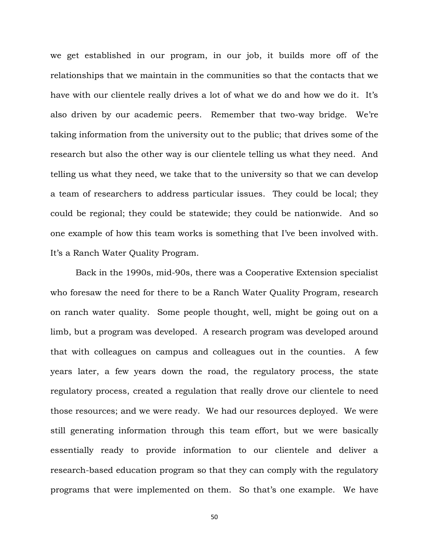we get established in our program, in our job, it builds more off of the relationships that we maintain in the communities so that the contacts that we have with our clientele really drives a lot of what we do and how we do it. It's also driven by our academic peers. Remember that two-way bridge. We're taking information from the university out to the public; that drives some of the research but also the other way is our clientele telling us what they need. And telling us what they need, we take that to the university so that we can develop a team of researchers to address particular issues. They could be local; they could be regional; they could be statewide; they could be nationwide. And so one example of how this team works is something that I've been involved with. It's a Ranch Water Quality Program.

Back in the 1990s, mid-90s, there was a Cooperative Extension specialist who foresaw the need for there to be a Ranch Water Quality Program, research on ranch water quality. Some people thought, well, might be going out on a limb, but a program was developed. A research program was developed around that with colleagues on campus and colleagues out in the counties. A few years later, a few years down the road, the regulatory process, the state regulatory process, created a regulation that really drove our clientele to need those resources; and we were ready. We had our resources deployed. We were still generating information through this team effort, but we were basically essentially ready to provide information to our clientele and deliver a research-based education program so that they can comply with the regulatory programs that were implemented on them. So that's one example. We have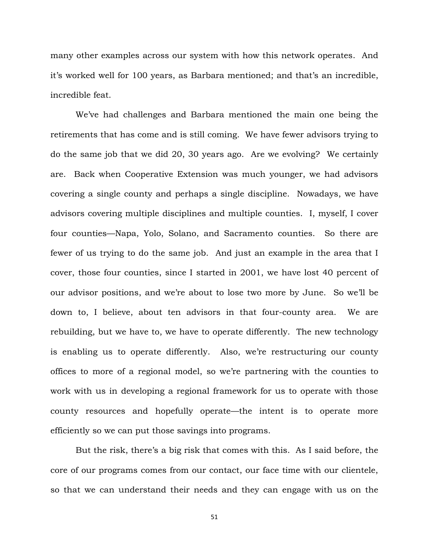many other examples across our system with how this network operates. And it's worked well for 100 years, as Barbara mentioned; and that's an incredible, incredible feat.

We've had challenges and Barbara mentioned the main one being the retirements that has come and is still coming. We have fewer advisors trying to do the same job that we did 20, 30 years ago. Are we evolving? We certainly are. Back when Cooperative Extension was much younger, we had advisors covering a single county and perhaps a single discipline. Nowadays, we have advisors covering multiple disciplines and multiple counties. I, myself, I cover four counties—Napa, Yolo, Solano, and Sacramento counties. So there are fewer of us trying to do the same job. And just an example in the area that I cover, those four counties, since I started in 2001, we have lost 40 percent of our advisor positions, and we're about to lose two more by June. So we'll be down to, I believe, about ten advisors in that four-county area. We are rebuilding, but we have to, we have to operate differently. The new technology is enabling us to operate differently. Also, we're restructuring our county offices to more of a regional model, so we're partnering with the counties to work with us in developing a regional framework for us to operate with those county resources and hopefully operate—the intent is to operate more efficiently so we can put those savings into programs.

But the risk, there's a big risk that comes with this. As I said before, the core of our programs comes from our contact, our face time with our clientele, so that we can understand their needs and they can engage with us on the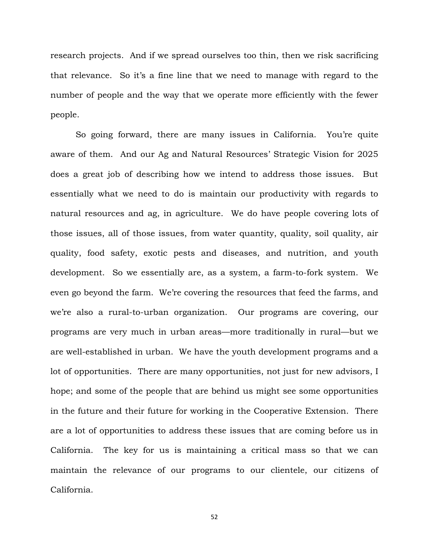research projects. And if we spread ourselves too thin, then we risk sacrificing that relevance. So it's a fine line that we need to manage with regard to the number of people and the way that we operate more efficiently with the fewer people.

So going forward, there are many issues in California. You're quite aware of them. And our Ag and Natural Resources' Strategic Vision for 2025 does a great job of describing how we intend to address those issues. But essentially what we need to do is maintain our productivity with regards to natural resources and ag, in agriculture. We do have people covering lots of those issues, all of those issues, from water quantity, quality, soil quality, air quality, food safety, exotic pests and diseases, and nutrition, and youth development. So we essentially are, as a system, a farm-to-fork system. We even go beyond the farm. We're covering the resources that feed the farms, and we're also a rural-to-urban organization. Our programs are covering, our programs are very much in urban areas—more traditionally in rural—but we are well-established in urban. We have the youth development programs and a lot of opportunities. There are many opportunities, not just for new advisors, I hope; and some of the people that are behind us might see some opportunities in the future and their future for working in the Cooperative Extension. There are a lot of opportunities to address these issues that are coming before us in California. The key for us is maintaining a critical mass so that we can maintain the relevance of our programs to our clientele, our citizens of California.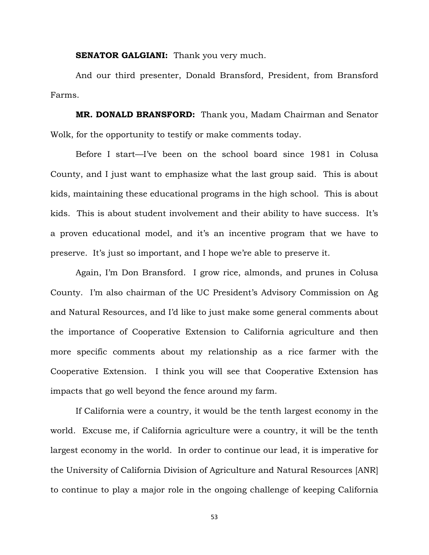**SENATOR GALGIANI:** Thank you very much.

And our third presenter, Donald Bransford, President, from Bransford Farms.

**MR. DONALD BRANSFORD:** Thank you, Madam Chairman and Senator Wolk, for the opportunity to testify or make comments today.

Before I start—I've been on the school board since 1981 in Colusa County, and I just want to emphasize what the last group said. This is about kids, maintaining these educational programs in the high school. This is about kids. This is about student involvement and their ability to have success. It's a proven educational model, and it's an incentive program that we have to preserve. It's just so important, and I hope we're able to preserve it.

Again, I'm Don Bransford. I grow rice, almonds, and prunes in Colusa County. I'm also chairman of the UC President's Advisory Commission on Ag and Natural Resources, and I'd like to just make some general comments about the importance of Cooperative Extension to California agriculture and then more specific comments about my relationship as a rice farmer with the Cooperative Extension. I think you will see that Cooperative Extension has impacts that go well beyond the fence around my farm.

If California were a country, it would be the tenth largest economy in the world. Excuse me, if California agriculture were a country, it will be the tenth largest economy in the world. In order to continue our lead, it is imperative for the University of California Division of Agriculture and Natural Resources [ANR] to continue to play a major role in the ongoing challenge of keeping California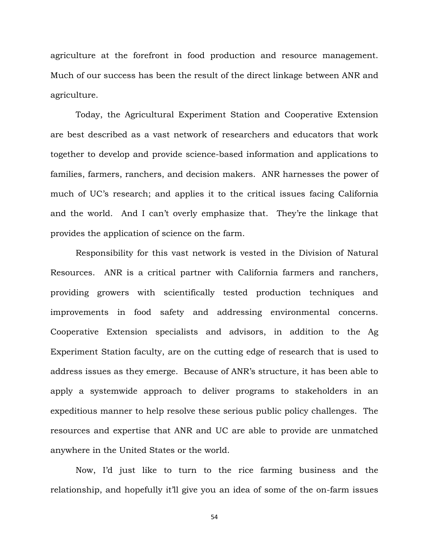agriculture at the forefront in food production and resource management. Much of our success has been the result of the direct linkage between ANR and agriculture.

Today, the Agricultural Experiment Station and Cooperative Extension are best described as a vast network of researchers and educators that work together to develop and provide science-based information and applications to families, farmers, ranchers, and decision makers. ANR harnesses the power of much of UC's research; and applies it to the critical issues facing California and the world. And I can't overly emphasize that. They're the linkage that provides the application of science on the farm.

Responsibility for this vast network is vested in the Division of Natural Resources. ANR is a critical partner with California farmers and ranchers, providing growers with scientifically tested production techniques and improvements in food safety and addressing environmental concerns. Cooperative Extension specialists and advisors, in addition to the Ag Experiment Station faculty, are on the cutting edge of research that is used to address issues as they emerge. Because of ANR's structure, it has been able to apply a systemwide approach to deliver programs to stakeholders in an expeditious manner to help resolve these serious public policy challenges. The resources and expertise that ANR and UC are able to provide are unmatched anywhere in the United States or the world.

Now, I'd just like to turn to the rice farming business and the relationship, and hopefully it'll give you an idea of some of the on-farm issues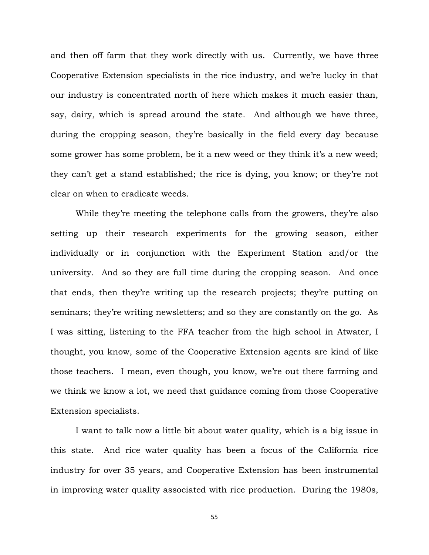and then off farm that they work directly with us. Currently, we have three Cooperative Extension specialists in the rice industry, and we're lucky in that our industry is concentrated north of here which makes it much easier than, say, dairy, which is spread around the state. And although we have three, during the cropping season, they're basically in the field every day because some grower has some problem, be it a new weed or they think it's a new weed; they can't get a stand established; the rice is dying, you know; or they're not clear on when to eradicate weeds.

While they're meeting the telephone calls from the growers, they're also setting up their research experiments for the growing season, either individually or in conjunction with the Experiment Station and/or the university. And so they are full time during the cropping season. And once that ends, then they're writing up the research projects; they're putting on seminars; they're writing newsletters; and so they are constantly on the go. As I was sitting, listening to the FFA teacher from the high school in Atwater, I thought, you know, some of the Cooperative Extension agents are kind of like those teachers. I mean, even though, you know, we're out there farming and we think we know a lot, we need that guidance coming from those Cooperative Extension specialists.

I want to talk now a little bit about water quality, which is a big issue in this state. And rice water quality has been a focus of the California rice industry for over 35 years, and Cooperative Extension has been instrumental in improving water quality associated with rice production. During the 1980s,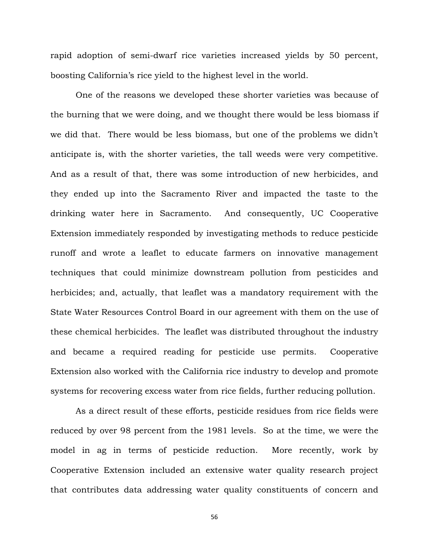rapid adoption of semi-dwarf rice varieties increased yields by 50 percent, boosting California's rice yield to the highest level in the world.

One of the reasons we developed these shorter varieties was because of the burning that we were doing, and we thought there would be less biomass if we did that. There would be less biomass, but one of the problems we didn't anticipate is, with the shorter varieties, the tall weeds were very competitive. And as a result of that, there was some introduction of new herbicides, and they ended up into the Sacramento River and impacted the taste to the drinking water here in Sacramento. And consequently, UC Cooperative Extension immediately responded by investigating methods to reduce pesticide runoff and wrote a leaflet to educate farmers on innovative management techniques that could minimize downstream pollution from pesticides and herbicides; and, actually, that leaflet was a mandatory requirement with the State Water Resources Control Board in our agreement with them on the use of these chemical herbicides. The leaflet was distributed throughout the industry and became a required reading for pesticide use permits. Cooperative Extension also worked with the California rice industry to develop and promote systems for recovering excess water from rice fields, further reducing pollution.

As a direct result of these efforts, pesticide residues from rice fields were reduced by over 98 percent from the 1981 levels. So at the time, we were the model in ag in terms of pesticide reduction. More recently, work by Cooperative Extension included an extensive water quality research project that contributes data addressing water quality constituents of concern and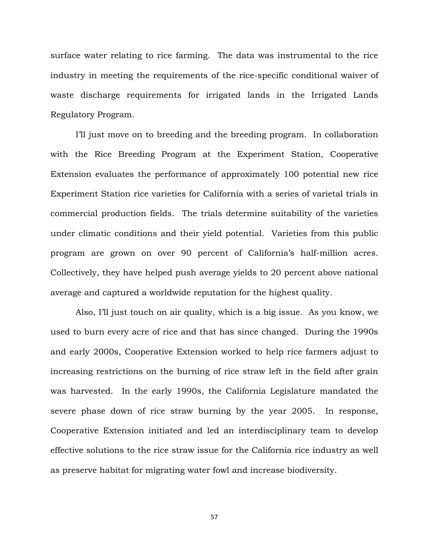surface water relating to rice farming. The data was instrumental to the rice industry in meeting the requirements of the rice-specific conditional waiver of waste discharge requirements for irrigated lands in the Irrigated Lands Regulatory Program.

I'll just move on to breeding and the breeding program. In collaboration with the Rice Breeding Program at the Experiment Station, Cooperative Extension evaluates the performance of approximately 100 potential new rice Experiment Station rice varieties for California with a series of varietal trials in commercial production fields. The trials determine suitability of the varieties under climatic conditions and their yield potential. Varieties from this public program are grown on over 90 percent of California's half-million acres. Collectively, they have helped push average yields to 20 percent above national average and captured a worldwide reputation for the highest quality.

Also, I'll just touch on air quality, which is a big issue. As you know, we used to burn every acre of rice and that has since changed. During the 1990s and early 2000s, Cooperative Extension worked to help rice farmers adjust to increasing restrictions on the burning of rice straw left in the field after grain was harvested. In the early 1990s, the California Legislature mandated the severe phase down of rice straw burning by the year 2005. In response, Cooperative Extension initiated and led an interdisciplinary team to develop effective solutions to the rice straw issue for the California rice industry as well as preserve habitat for migrating water fowl and increase biodiversity.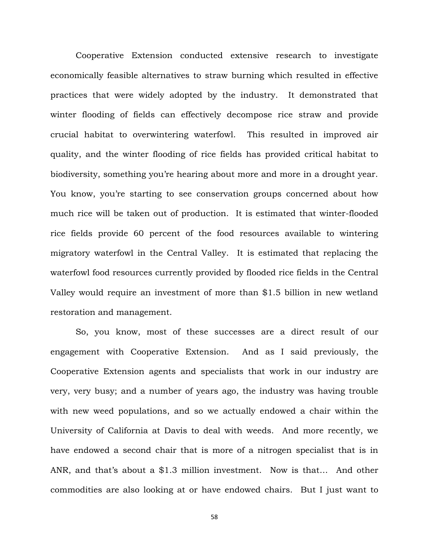Cooperative Extension conducted extensive research to investigate economically feasible alternatives to straw burning which resulted in effective practices that were widely adopted by the industry. It demonstrated that winter flooding of fields can effectively decompose rice straw and provide crucial habitat to overwintering waterfowl. This resulted in improved air quality, and the winter flooding of rice fields has provided critical habitat to biodiversity, something you're hearing about more and more in a drought year. You know, you're starting to see conservation groups concerned about how much rice will be taken out of production. It is estimated that winter-flooded rice fields provide 60 percent of the food resources available to wintering migratory waterfowl in the Central Valley. It is estimated that replacing the waterfowl food resources currently provided by flooded rice fields in the Central Valley would require an investment of more than \$1.5 billion in new wetland restoration and management.

So, you know, most of these successes are a direct result of our engagement with Cooperative Extension. And as I said previously, the Cooperative Extension agents and specialists that work in our industry are very, very busy; and a number of years ago, the industry was having trouble with new weed populations, and so we actually endowed a chair within the University of California at Davis to deal with weeds. And more recently, we have endowed a second chair that is more of a nitrogen specialist that is in ANR, and that's about a \$1.3 million investment. Now is that… And other commodities are also looking at or have endowed chairs. But I just want to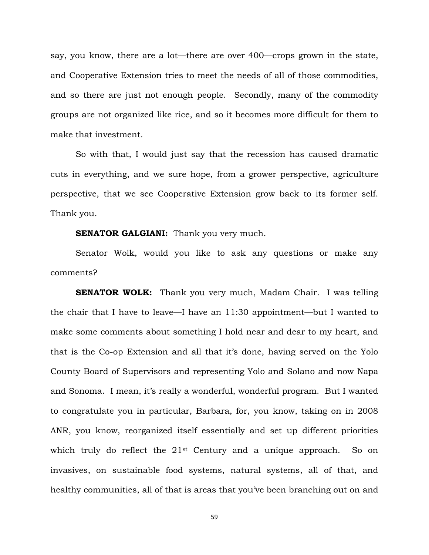say, you know, there are a lot—there are over 400—crops grown in the state, and Cooperative Extension tries to meet the needs of all of those commodities, and so there are just not enough people. Secondly, many of the commodity groups are not organized like rice, and so it becomes more difficult for them to make that investment.

So with that, I would just say that the recession has caused dramatic cuts in everything, and we sure hope, from a grower perspective, agriculture perspective, that we see Cooperative Extension grow back to its former self. Thank you.

## **SENATOR GALGIANI:** Thank you very much.

Senator Wolk, would you like to ask any questions or make any comments?

**SENATOR WOLK:** Thank you very much, Madam Chair. I was telling the chair that I have to leave—I have an 11:30 appointment—but I wanted to make some comments about something I hold near and dear to my heart, and that is the Co-op Extension and all that it's done, having served on the Yolo County Board of Supervisors and representing Yolo and Solano and now Napa and Sonoma. I mean, it's really a wonderful, wonderful program. But I wanted to congratulate you in particular, Barbara, for, you know, taking on in 2008 ANR, you know, reorganized itself essentially and set up different priorities which truly do reflect the 21<sup>st</sup> Century and a unique approach. So on invasives, on sustainable food systems, natural systems, all of that, and healthy communities, all of that is areas that you've been branching out on and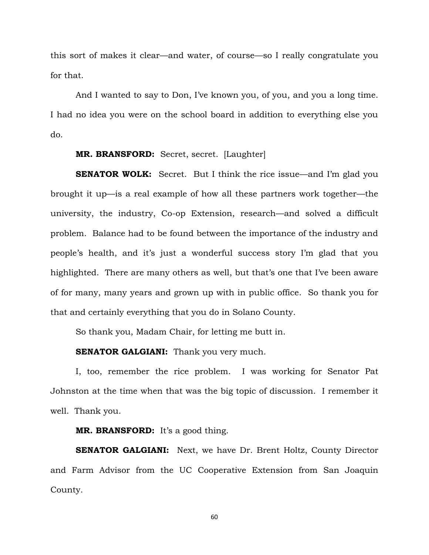this sort of makes it clear—and water, of course—so I really congratulate you for that.

And I wanted to say to Don, I've known you, of you, and you a long time. I had no idea you were on the school board in addition to everything else you do.

# **MR. BRANSFORD:** Secret, secret. [Laughter]

**SENATOR WOLK:** Secret. But I think the rice issue—and I'm glad you brought it up—is a real example of how all these partners work together—the university, the industry, Co-op Extension, research—and solved a difficult problem. Balance had to be found between the importance of the industry and people's health, and it's just a wonderful success story I'm glad that you highlighted. There are many others as well, but that's one that I've been aware of for many, many years and grown up with in public office. So thank you for that and certainly everything that you do in Solano County.

So thank you, Madam Chair, for letting me butt in.

#### **SENATOR GALGIANI:** Thank you very much.

I, too, remember the rice problem. I was working for Senator Pat Johnston at the time when that was the big topic of discussion. I remember it well. Thank you.

### **MR. BRANSFORD:** It's a good thing.

**SENATOR GALGIANI:** Next, we have Dr. Brent Holtz, County Director and Farm Advisor from the UC Cooperative Extension from San Joaquin County.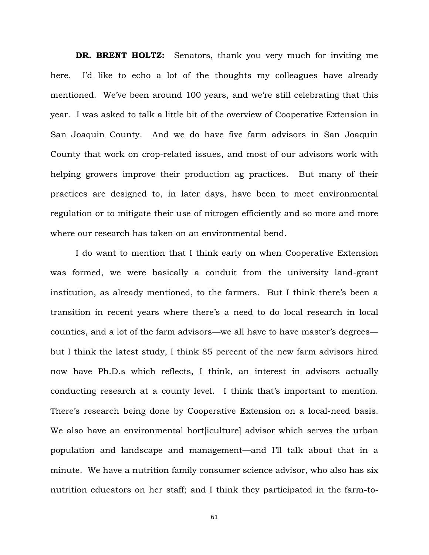**DR. BRENT HOLTZ:** Senators, thank you very much for inviting me here. I'd like to echo a lot of the thoughts my colleagues have already mentioned. We've been around 100 years, and we're still celebrating that this year. I was asked to talk a little bit of the overview of Cooperative Extension in San Joaquin County. And we do have five farm advisors in San Joaquin County that work on crop-related issues, and most of our advisors work with helping growers improve their production ag practices. But many of their practices are designed to, in later days, have been to meet environmental regulation or to mitigate their use of nitrogen efficiently and so more and more where our research has taken on an environmental bend.

I do want to mention that I think early on when Cooperative Extension was formed, we were basically a conduit from the university land-grant institution, as already mentioned, to the farmers. But I think there's been a transition in recent years where there's a need to do local research in local counties, and a lot of the farm advisors—we all have to have master's degrees but I think the latest study, I think 85 percent of the new farm advisors hired now have Ph.D.s which reflects, I think, an interest in advisors actually conducting research at a county level. I think that's important to mention. There's research being done by Cooperative Extension on a local-need basis. We also have an environmental hort[iculture] advisor which serves the urban population and landscape and management—and I'll talk about that in a minute. We have a nutrition family consumer science advisor, who also has six nutrition educators on her staff; and I think they participated in the farm-to-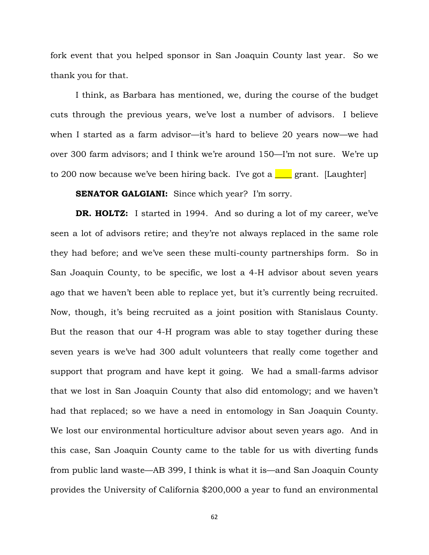fork event that you helped sponsor in San Joaquin County last year. So we thank you for that.

I think, as Barbara has mentioned, we, during the course of the budget cuts through the previous years, we've lost a number of advisors. I believe when I started as a farm advisor—it's hard to believe 20 years now—we had over 300 farm advisors; and I think we're around 150—I'm not sure. We're up to 200 now because we've been hiring back. I've got a **\_\_\_\_** grant. [Laughter]

## **SENATOR GALGIANI:** Since which year? I'm sorry.

**DR. HOLTZ:** I started in 1994. And so during a lot of my career, we've seen a lot of advisors retire; and they're not always replaced in the same role they had before; and we've seen these multi-county partnerships form. So in San Joaquin County, to be specific, we lost a 4-H advisor about seven years ago that we haven't been able to replace yet, but it's currently being recruited. Now, though, it's being recruited as a joint position with Stanislaus County. But the reason that our 4-H program was able to stay together during these seven years is we've had 300 adult volunteers that really come together and support that program and have kept it going. We had a small-farms advisor that we lost in San Joaquin County that also did entomology; and we haven't had that replaced; so we have a need in entomology in San Joaquin County. We lost our environmental horticulture advisor about seven years ago. And in this case, San Joaquin County came to the table for us with diverting funds from public land waste—AB 399, I think is what it is—and San Joaquin County provides the University of California \$200,000 a year to fund an environmental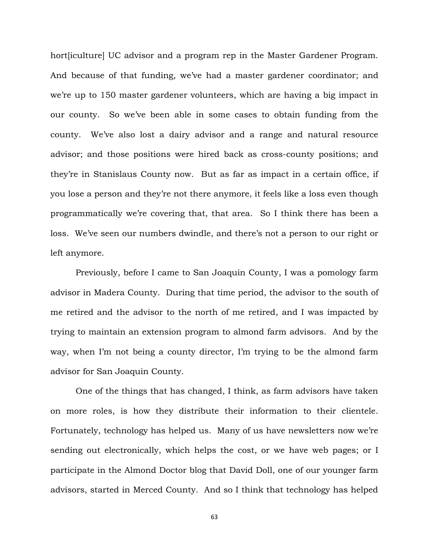hort *[iculture]* UC advisor and a program rep in the Master Gardener Program. And because of that funding, we've had a master gardener coordinator; and we're up to 150 master gardener volunteers, which are having a big impact in our county. So we've been able in some cases to obtain funding from the county. We've also lost a dairy advisor and a range and natural resource advisor; and those positions were hired back as cross-county positions; and they're in Stanislaus County now. But as far as impact in a certain office, if you lose a person and they're not there anymore, it feels like a loss even though programmatically we're covering that, that area. So I think there has been a loss. We've seen our numbers dwindle, and there's not a person to our right or left anymore.

Previously, before I came to San Joaquin County, I was a pomology farm advisor in Madera County. During that time period, the advisor to the south of me retired and the advisor to the north of me retired, and I was impacted by trying to maintain an extension program to almond farm advisors. And by the way, when I'm not being a county director, I'm trying to be the almond farm advisor for San Joaquin County.

One of the things that has changed, I think, as farm advisors have taken on more roles, is how they distribute their information to their clientele. Fortunately, technology has helped us. Many of us have newsletters now we're sending out electronically, which helps the cost, or we have web pages; or I participate in the Almond Doctor blog that David Doll, one of our younger farm advisors, started in Merced County. And so I think that technology has helped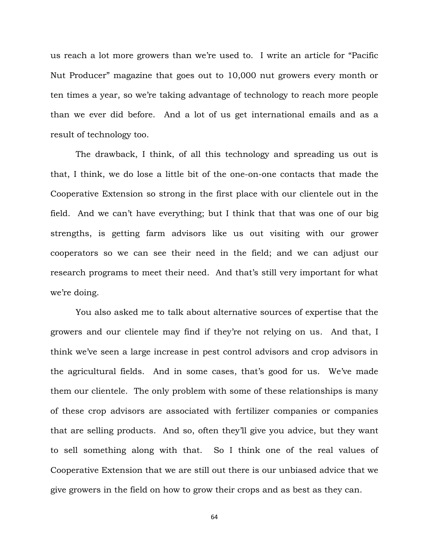us reach a lot more growers than we're used to. I write an article for "Pacific Nut Producer" magazine that goes out to 10,000 nut growers every month or ten times a year, so we're taking advantage of technology to reach more people than we ever did before. And a lot of us get international emails and as a result of technology too.

The drawback, I think, of all this technology and spreading us out is that, I think, we do lose a little bit of the one-on-one contacts that made the Cooperative Extension so strong in the first place with our clientele out in the field. And we can't have everything; but I think that that was one of our big strengths, is getting farm advisors like us out visiting with our grower cooperators so we can see their need in the field; and we can adjust our research programs to meet their need. And that's still very important for what we're doing.

You also asked me to talk about alternative sources of expertise that the growers and our clientele may find if they're not relying on us. And that, I think we've seen a large increase in pest control advisors and crop advisors in the agricultural fields. And in some cases, that's good for us. We've made them our clientele. The only problem with some of these relationships is many of these crop advisors are associated with fertilizer companies or companies that are selling products. And so, often they'll give you advice, but they want to sell something along with that. So I think one of the real values of Cooperative Extension that we are still out there is our unbiased advice that we give growers in the field on how to grow their crops and as best as they can.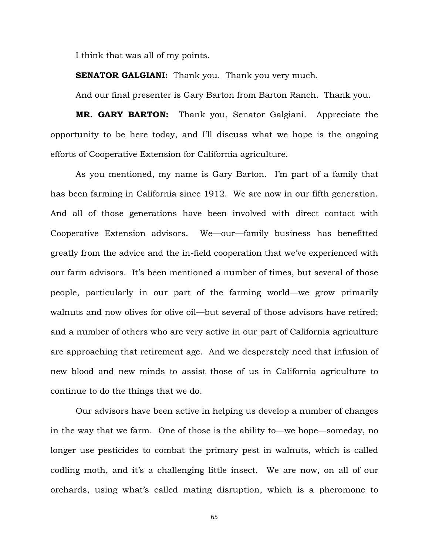I think that was all of my points.

**SENATOR GALGIANI:** Thank you. Thank you very much.

And our final presenter is Gary Barton from Barton Ranch. Thank you.

**MR. GARY BARTON:** Thank you, Senator Galgiani. Appreciate the opportunity to be here today, and I'll discuss what we hope is the ongoing efforts of Cooperative Extension for California agriculture.

As you mentioned, my name is Gary Barton. I'm part of a family that has been farming in California since 1912. We are now in our fifth generation. And all of those generations have been involved with direct contact with Cooperative Extension advisors. We—our—family business has benefitted greatly from the advice and the in-field cooperation that we've experienced with our farm advisors. It's been mentioned a number of times, but several of those people, particularly in our part of the farming world—we grow primarily walnuts and now olives for olive oil—but several of those advisors have retired; and a number of others who are very active in our part of California agriculture are approaching that retirement age. And we desperately need that infusion of new blood and new minds to assist those of us in California agriculture to continue to do the things that we do.

Our advisors have been active in helping us develop a number of changes in the way that we farm. One of those is the ability to—we hope—someday, no longer use pesticides to combat the primary pest in walnuts, which is called codling moth, and it's a challenging little insect. We are now, on all of our orchards, using what's called mating disruption, which is a pheromone to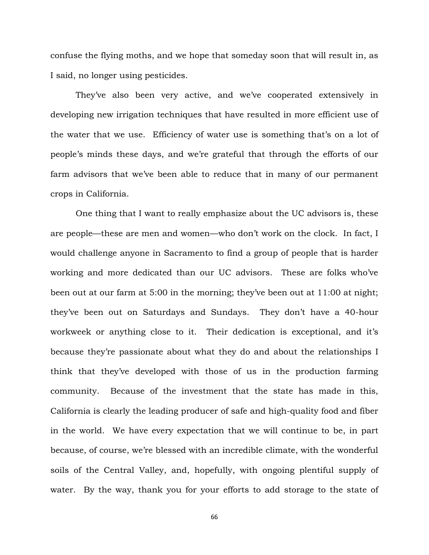confuse the flying moths, and we hope that someday soon that will result in, as I said, no longer using pesticides.

They've also been very active, and we've cooperated extensively in developing new irrigation techniques that have resulted in more efficient use of the water that we use. Efficiency of water use is something that's on a lot of people's minds these days, and we're grateful that through the efforts of our farm advisors that we've been able to reduce that in many of our permanent crops in California.

One thing that I want to really emphasize about the UC advisors is, these are people—these are men and women—who don't work on the clock. In fact, I would challenge anyone in Sacramento to find a group of people that is harder working and more dedicated than our UC advisors. These are folks who've been out at our farm at 5:00 in the morning; they've been out at 11:00 at night; they've been out on Saturdays and Sundays. They don't have a 40-hour workweek or anything close to it. Their dedication is exceptional, and it's because they're passionate about what they do and about the relationships I think that they've developed with those of us in the production farming community. Because of the investment that the state has made in this, California is clearly the leading producer of safe and high-quality food and fiber in the world. We have every expectation that we will continue to be, in part because, of course, we're blessed with an incredible climate, with the wonderful soils of the Central Valley, and, hopefully, with ongoing plentiful supply of water. By the way, thank you for your efforts to add storage to the state of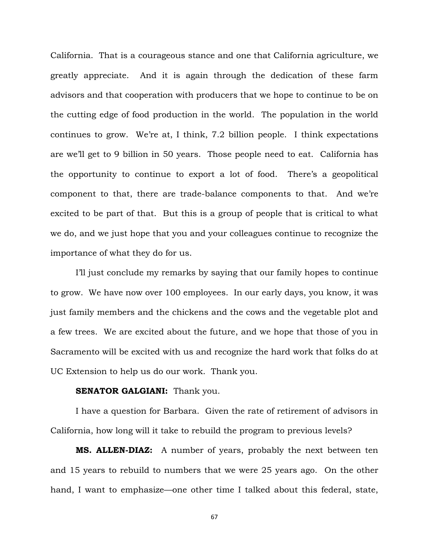California. That is a courageous stance and one that California agriculture, we greatly appreciate. And it is again through the dedication of these farm advisors and that cooperation with producers that we hope to continue to be on the cutting edge of food production in the world. The population in the world continues to grow. We're at, I think, 7.2 billion people. I think expectations are we'll get to 9 billion in 50 years. Those people need to eat. California has the opportunity to continue to export a lot of food. There's a geopolitical component to that, there are trade-balance components to that. And we're excited to be part of that. But this is a group of people that is critical to what we do, and we just hope that you and your colleagues continue to recognize the importance of what they do for us.

I'll just conclude my remarks by saying that our family hopes to continue to grow. We have now over 100 employees. In our early days, you know, it was just family members and the chickens and the cows and the vegetable plot and a few trees. We are excited about the future, and we hope that those of you in Sacramento will be excited with us and recognize the hard work that folks do at UC Extension to help us do our work. Thank you.

## **SENATOR GALGIANI:** Thank you.

I have a question for Barbara. Given the rate of retirement of advisors in California, how long will it take to rebuild the program to previous levels?

**MS. ALLEN-DIAZ:** A number of years, probably the next between ten and 15 years to rebuild to numbers that we were 25 years ago. On the other hand, I want to emphasize—one other time I talked about this federal, state,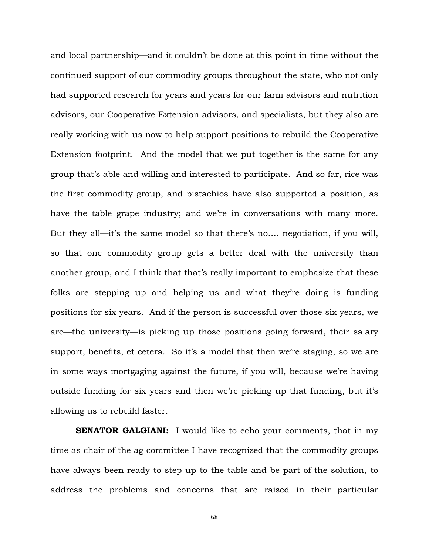and local partnership—and it couldn't be done at this point in time without the continued support of our commodity groups throughout the state, who not only had supported research for years and years for our farm advisors and nutrition advisors, our Cooperative Extension advisors, and specialists, but they also are really working with us now to help support positions to rebuild the Cooperative Extension footprint. And the model that we put together is the same for any group that's able and willing and interested to participate. And so far, rice was the first commodity group, and pistachios have also supported a position, as have the table grape industry; and we're in conversations with many more. But they all—it's the same model so that there's no…. negotiation, if you will, so that one commodity group gets a better deal with the university than another group, and I think that that's really important to emphasize that these folks are stepping up and helping us and what they're doing is funding positions for six years. And if the person is successful over those six years, we are—the university—is picking up those positions going forward, their salary support, benefits, et cetera. So it's a model that then we're staging, so we are in some ways mortgaging against the future, if you will, because we're having outside funding for six years and then we're picking up that funding, but it's allowing us to rebuild faster.

**SENATOR GALGIANI:** I would like to echo your comments, that in my time as chair of the ag committee I have recognized that the commodity groups have always been ready to step up to the table and be part of the solution, to address the problems and concerns that are raised in their particular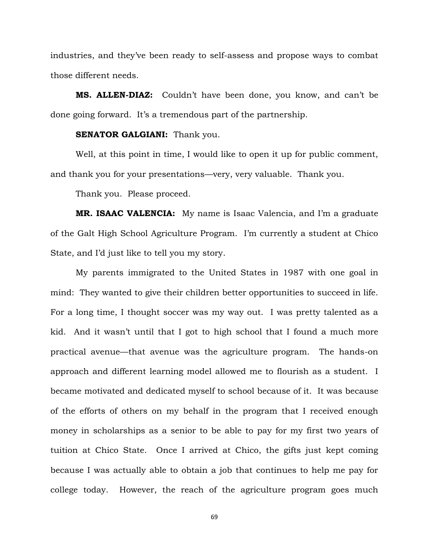industries, and they've been ready to self-assess and propose ways to combat those different needs.

**MS. ALLEN-DIAZ:** Couldn't have been done, you know, and can't be done going forward. It's a tremendous part of the partnership.

#### **SENATOR GALGIANI:** Thank you.

Well, at this point in time, I would like to open it up for public comment, and thank you for your presentations—very, very valuable. Thank you.

Thank you. Please proceed.

**MR. ISAAC VALENCIA:** My name is Isaac Valencia, and I'm a graduate of the Galt High School Agriculture Program. I'm currently a student at Chico State, and I'd just like to tell you my story.

My parents immigrated to the United States in 1987 with one goal in mind: They wanted to give their children better opportunities to succeed in life. For a long time, I thought soccer was my way out. I was pretty talented as a kid. And it wasn't until that I got to high school that I found a much more practical avenue—that avenue was the agriculture program. The hands-on approach and different learning model allowed me to flourish as a student. I became motivated and dedicated myself to school because of it. It was because of the efforts of others on my behalf in the program that I received enough money in scholarships as a senior to be able to pay for my first two years of tuition at Chico State. Once I arrived at Chico, the gifts just kept coming because I was actually able to obtain a job that continues to help me pay for college today. However, the reach of the agriculture program goes much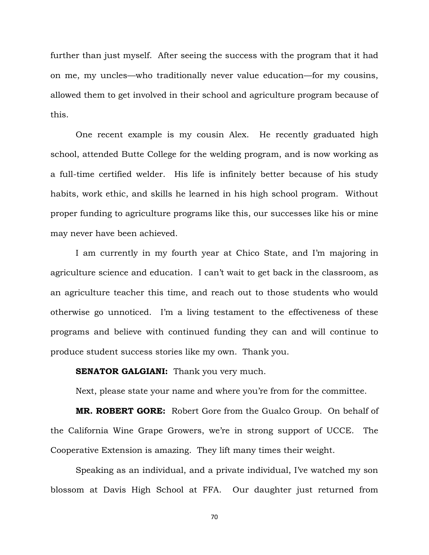further than just myself. After seeing the success with the program that it had on me, my uncles—who traditionally never value education—for my cousins, allowed them to get involved in their school and agriculture program because of this.

One recent example is my cousin Alex. He recently graduated high school, attended Butte College for the welding program, and is now working as a full-time certified welder. His life is infinitely better because of his study habits, work ethic, and skills he learned in his high school program. Without proper funding to agriculture programs like this, our successes like his or mine may never have been achieved.

I am currently in my fourth year at Chico State, and I'm majoring in agriculture science and education. I can't wait to get back in the classroom, as an agriculture teacher this time, and reach out to those students who would otherwise go unnoticed. I'm a living testament to the effectiveness of these programs and believe with continued funding they can and will continue to produce student success stories like my own. Thank you.

## **SENATOR GALGIANI:** Thank you very much.

Next, please state your name and where you're from for the committee.

**MR. ROBERT GORE:** Robert Gore from the Gualco Group. On behalf of the California Wine Grape Growers, we're in strong support of UCCE. The Cooperative Extension is amazing. They lift many times their weight.

Speaking as an individual, and a private individual, I've watched my son blossom at Davis High School at FFA. Our daughter just returned from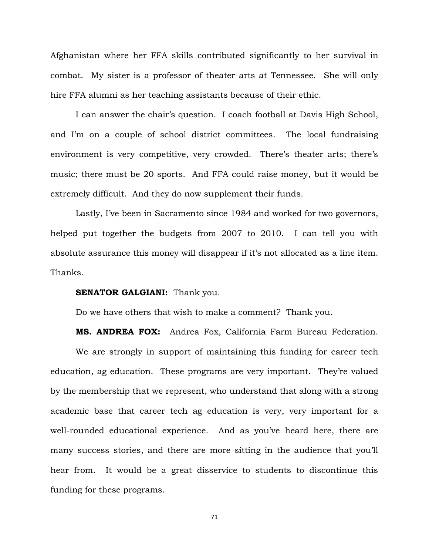Afghanistan where her FFA skills contributed significantly to her survival in combat. My sister is a professor of theater arts at Tennessee. She will only hire FFA alumni as her teaching assistants because of their ethic.

I can answer the chair's question. I coach football at Davis High School, and I'm on a couple of school district committees. The local fundraising environment is very competitive, very crowded. There's theater arts; there's music; there must be 20 sports. And FFA could raise money, but it would be extremely difficult. And they do now supplement their funds.

Lastly, I've been in Sacramento since 1984 and worked for two governors, helped put together the budgets from 2007 to 2010. I can tell you with absolute assurance this money will disappear if it's not allocated as a line item. Thanks.

#### **SENATOR GALGIANI:** Thank you.

Do we have others that wish to make a comment? Thank you.

**MS. ANDREA FOX:** Andrea Fox, California Farm Bureau Federation.

We are strongly in support of maintaining this funding for career tech education, ag education. These programs are very important. They're valued by the membership that we represent, who understand that along with a strong academic base that career tech ag education is very, very important for a well-rounded educational experience. And as you've heard here, there are many success stories, and there are more sitting in the audience that you'll hear from. It would be a great disservice to students to discontinue this funding for these programs.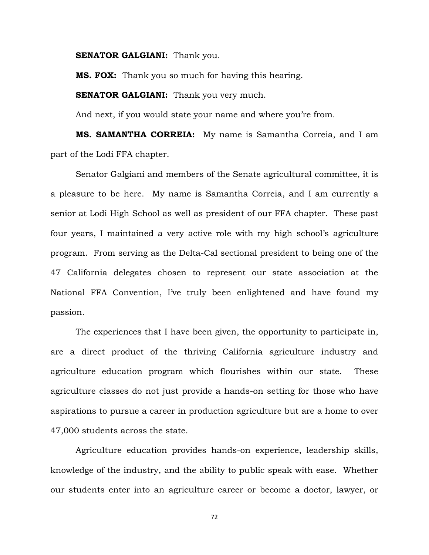**SENATOR GALGIANI:** Thank you.

**MS. FOX:** Thank you so much for having this hearing.

**SENATOR GALGIANI:** Thank you very much.

And next, if you would state your name and where you're from.

**MS. SAMANTHA CORREIA:** My name is Samantha Correia, and I am part of the Lodi FFA chapter.

Senator Galgiani and members of the Senate agricultural committee, it is a pleasure to be here. My name is Samantha Correia, and I am currently a senior at Lodi High School as well as president of our FFA chapter. These past four years, I maintained a very active role with my high school's agriculture program. From serving as the Delta-Cal sectional president to being one of the 47 California delegates chosen to represent our state association at the National FFA Convention, I've truly been enlightened and have found my passion.

The experiences that I have been given, the opportunity to participate in, are a direct product of the thriving California agriculture industry and agriculture education program which flourishes within our state. These agriculture classes do not just provide a hands-on setting for those who have aspirations to pursue a career in production agriculture but are a home to over 47,000 students across the state.

Agriculture education provides hands-on experience, leadership skills, knowledge of the industry, and the ability to public speak with ease. Whether our students enter into an agriculture career or become a doctor, lawyer, or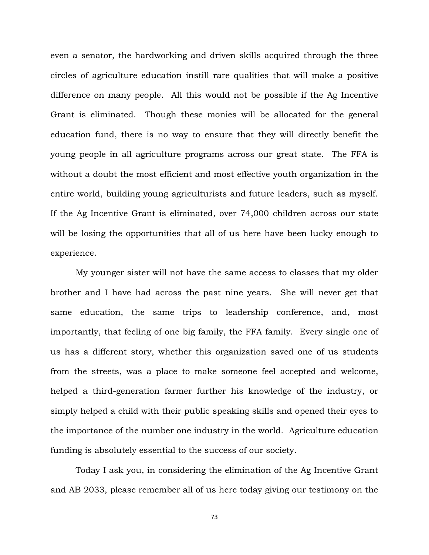even a senator, the hardworking and driven skills acquired through the three circles of agriculture education instill rare qualities that will make a positive difference on many people. All this would not be possible if the Ag Incentive Grant is eliminated. Though these monies will be allocated for the general education fund, there is no way to ensure that they will directly benefit the young people in all agriculture programs across our great state. The FFA is without a doubt the most efficient and most effective youth organization in the entire world, building young agriculturists and future leaders, such as myself. If the Ag Incentive Grant is eliminated, over 74,000 children across our state will be losing the opportunities that all of us here have been lucky enough to experience.

My younger sister will not have the same access to classes that my older brother and I have had across the past nine years. She will never get that same education, the same trips to leadership conference, and, most importantly, that feeling of one big family, the FFA family. Every single one of us has a different story, whether this organization saved one of us students from the streets, was a place to make someone feel accepted and welcome, helped a third-generation farmer further his knowledge of the industry, or simply helped a child with their public speaking skills and opened their eyes to the importance of the number one industry in the world. Agriculture education funding is absolutely essential to the success of our society.

Today I ask you, in considering the elimination of the Ag Incentive Grant and AB 2033, please remember all of us here today giving our testimony on the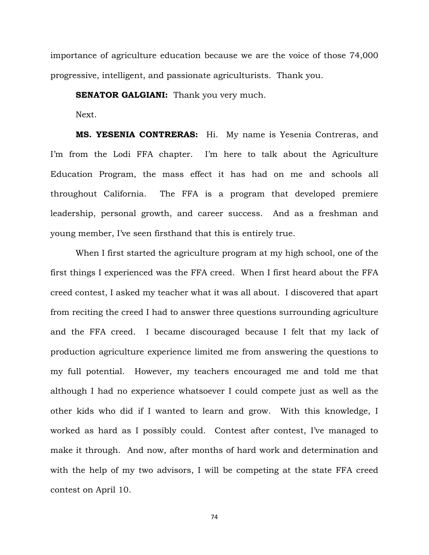importance of agriculture education because we are the voice of those 74,000 progressive, intelligent, and passionate agriculturists. Thank you.

**SENATOR GALGIANI:** Thank you very much.

Next.

**MS. YESENIA CONTRERAS:** Hi. My name is Yesenia Contreras, and I'm from the Lodi FFA chapter. I'm here to talk about the Agriculture Education Program, the mass effect it has had on me and schools all throughout California. The FFA is a program that developed premiere leadership, personal growth, and career success. And as a freshman and young member, I've seen firsthand that this is entirely true.

When I first started the agriculture program at my high school, one of the first things I experienced was the FFA creed. When I first heard about the FFA creed contest, I asked my teacher what it was all about. I discovered that apart from reciting the creed I had to answer three questions surrounding agriculture and the FFA creed. I became discouraged because I felt that my lack of production agriculture experience limited me from answering the questions to my full potential. However, my teachers encouraged me and told me that although I had no experience whatsoever I could compete just as well as the other kids who did if I wanted to learn and grow. With this knowledge, I worked as hard as I possibly could. Contest after contest, I've managed to make it through. And now, after months of hard work and determination and with the help of my two advisors, I will be competing at the state FFA creed contest on April 10.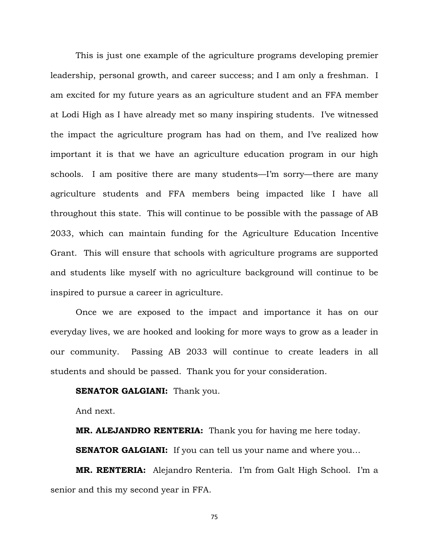This is just one example of the agriculture programs developing premier leadership, personal growth, and career success; and I am only a freshman. I am excited for my future years as an agriculture student and an FFA member at Lodi High as I have already met so many inspiring students. I've witnessed the impact the agriculture program has had on them, and I've realized how important it is that we have an agriculture education program in our high schools. I am positive there are many students—I'm sorry—there are many agriculture students and FFA members being impacted like I have all throughout this state. This will continue to be possible with the passage of AB 2033, which can maintain funding for the Agriculture Education Incentive Grant. This will ensure that schools with agriculture programs are supported and students like myself with no agriculture background will continue to be inspired to pursue a career in agriculture.

Once we are exposed to the impact and importance it has on our everyday lives, we are hooked and looking for more ways to grow as a leader in our community. Passing AB 2033 will continue to create leaders in all students and should be passed. Thank you for your consideration.

# **SENATOR GALGIANI:** Thank you.

And next.

**MR. ALEJANDRO RENTERIA:** Thank you for having me here today.

**SENATOR GALGIANI:** If you can tell us your name and where you...

**MR. RENTERIA:** Alejandro Renteria. I'm from Galt High School. I'm a senior and this my second year in FFA.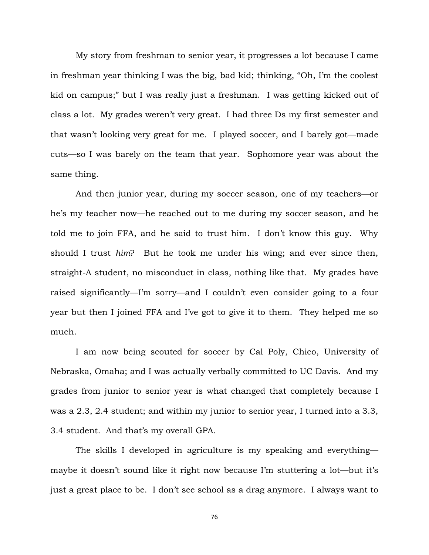My story from freshman to senior year, it progresses a lot because I came in freshman year thinking I was the big, bad kid; thinking, "Oh, I'm the coolest kid on campus;" but I was really just a freshman. I was getting kicked out of class a lot. My grades weren't very great. I had three Ds my first semester and that wasn't looking very great for me. I played soccer, and I barely got—made cuts—so I was barely on the team that year. Sophomore year was about the same thing.

And then junior year, during my soccer season, one of my teachers—or he's my teacher now—he reached out to me during my soccer season, and he told me to join FFA, and he said to trust him. I don't know this guy. Why should I trust *him*? But he took me under his wing; and ever since then, straight-A student, no misconduct in class, nothing like that. My grades have raised significantly—I'm sorry—and I couldn't even consider going to a four year but then I joined FFA and I've got to give it to them. They helped me so much.

I am now being scouted for soccer by Cal Poly, Chico, University of Nebraska, Omaha; and I was actually verbally committed to UC Davis. And my grades from junior to senior year is what changed that completely because I was a 2.3, 2.4 student; and within my junior to senior year, I turned into a 3.3, 3.4 student. And that's my overall GPA.

The skills I developed in agriculture is my speaking and everything maybe it doesn't sound like it right now because I'm stuttering a lot—but it's just a great place to be. I don't see school as a drag anymore. I always want to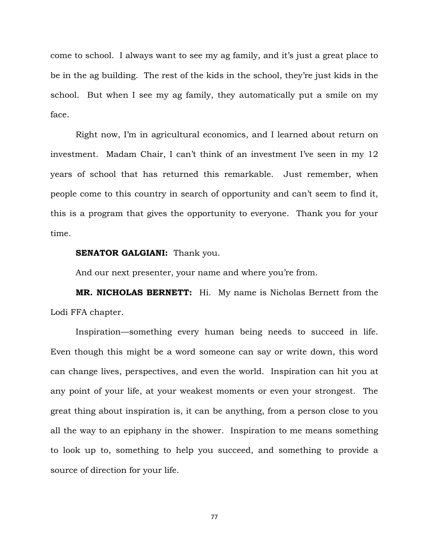come to school. I always want to see my ag family, and it's just a great place to be in the ag building. The rest of the kids in the school, they're just kids in the school. But when I see my ag family, they automatically put a smile on my face.

Right now, I'm in agricultural economics, and I learned about return on investment. Madam Chair, I can't think of an investment I've seen in my 12 years of school that has returned this remarkable. Just remember, when people come to this country in search of opportunity and can't seem to find it, this is a program that gives the opportunity to everyone. Thank you for your time.

## **SENATOR GALGIANI:** Thank you.

And our next presenter, your name and where you're from.

**MR. NICHOLAS BERNETT:** Hi. My name is Nicholas Bernett from the Lodi FFA chapter.

Inspiration—something every human being needs to succeed in life. Even though this might be a word someone can say or write down, this word can change lives, perspectives, and even the world. Inspiration can hit you at any point of your life, at your weakest moments or even your strongest. The great thing about inspiration is, it can be anything, from a person close to you all the way to an epiphany in the shower. Inspiration to me means something to look up to, something to help you succeed, and something to provide a source of direction for your life.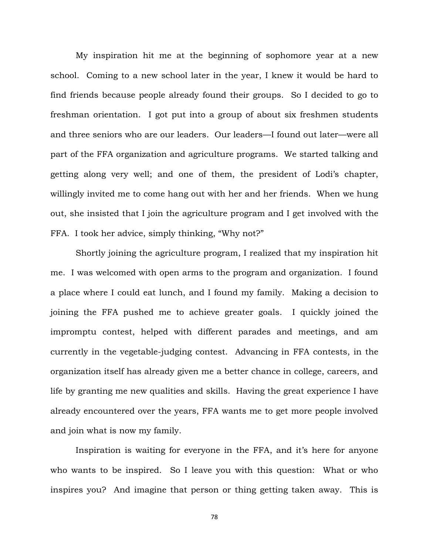My inspiration hit me at the beginning of sophomore year at a new school. Coming to a new school later in the year, I knew it would be hard to find friends because people already found their groups. So I decided to go to freshman orientation. I got put into a group of about six freshmen students and three seniors who are our leaders. Our leaders—I found out later—were all part of the FFA organization and agriculture programs. We started talking and getting along very well; and one of them, the president of Lodi's chapter, willingly invited me to come hang out with her and her friends. When we hung out, she insisted that I join the agriculture program and I get involved with the FFA. I took her advice, simply thinking, "Why not?"

Shortly joining the agriculture program, I realized that my inspiration hit me. I was welcomed with open arms to the program and organization. I found a place where I could eat lunch, and I found my family. Making a decision to joining the FFA pushed me to achieve greater goals. I quickly joined the impromptu contest, helped with different parades and meetings, and am currently in the vegetable-judging contest. Advancing in FFA contests, in the organization itself has already given me a better chance in college, careers, and life by granting me new qualities and skills. Having the great experience I have already encountered over the years, FFA wants me to get more people involved and join what is now my family.

Inspiration is waiting for everyone in the FFA, and it's here for anyone who wants to be inspired. So I leave you with this question: What or who inspires you? And imagine that person or thing getting taken away. This is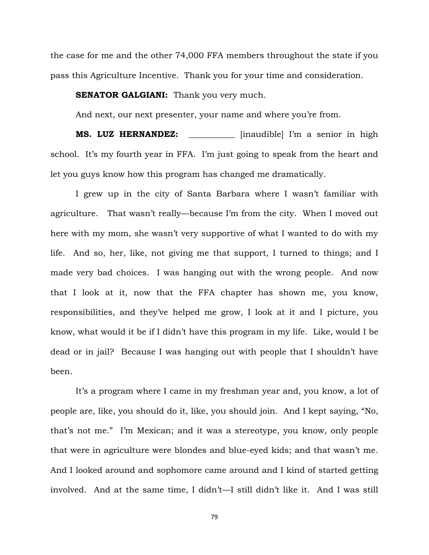the case for me and the other 74,000 FFA members throughout the state if you pass this Agriculture Incentive. Thank you for your time and consideration.

#### **SENATOR GALGIANI:** Thank you very much.

And next, our next presenter, your name and where you're from.

**MS. LUZ HERNANDEZ:** *\_\_\_\_\_\_\_\_\_\_\_* [inaudible] I'm a senior in high school. It's my fourth year in FFA. I'm just going to speak from the heart and let you guys know how this program has changed me dramatically.

I grew up in the city of Santa Barbara where I wasn't familiar with agriculture. That wasn't really—because I'm from the city. When I moved out here with my mom, she wasn't very supportive of what I wanted to do with my life. And so, her, like, not giving me that support, I turned to things; and I made very bad choices. I was hanging out with the wrong people. And now that I look at it, now that the FFA chapter has shown me, you know, responsibilities, and they've helped me grow, I look at it and I picture, you know, what would it be if I didn't have this program in my life. Like, would I be dead or in jail? Because I was hanging out with people that I shouldn't have been.

It's a program where I came in my freshman year and, you know, a lot of people are, like, you should do it, like, you should join. And I kept saying, "No, that's not me." I'm Mexican; and it was a stereotype, you know, only people that were in agriculture were blondes and blue-eyed kids; and that wasn't me. And I looked around and sophomore came around and I kind of started getting involved. And at the same time, I didn't—I still didn't like it. And I was still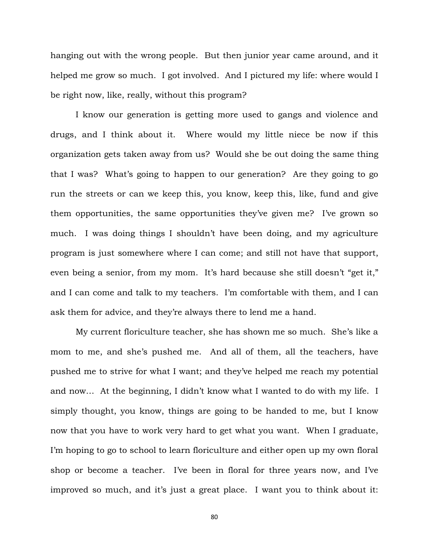hanging out with the wrong people. But then junior year came around, and it helped me grow so much. I got involved. And I pictured my life: where would I be right now, like, really, without this program?

I know our generation is getting more used to gangs and violence and drugs, and I think about it. Where would my little niece be now if this organization gets taken away from us? Would she be out doing the same thing that I was? What's going to happen to our generation? Are they going to go run the streets or can we keep this, you know, keep this, like, fund and give them opportunities, the same opportunities they've given me? I've grown so much. I was doing things I shouldn't have been doing, and my agriculture program is just somewhere where I can come; and still not have that support, even being a senior, from my mom. It's hard because she still doesn't "get it," and I can come and talk to my teachers. I'm comfortable with them, and I can ask them for advice, and they're always there to lend me a hand.

My current floriculture teacher, she has shown me so much. She's like a mom to me, and she's pushed me. And all of them, all the teachers, have pushed me to strive for what I want; and they've helped me reach my potential and now… At the beginning, I didn't know what I wanted to do with my life. I simply thought, you know, things are going to be handed to me, but I know now that you have to work very hard to get what you want. When I graduate, I'm hoping to go to school to learn floriculture and either open up my own floral shop or become a teacher. I've been in floral for three years now, and I've improved so much, and it's just a great place. I want you to think about it: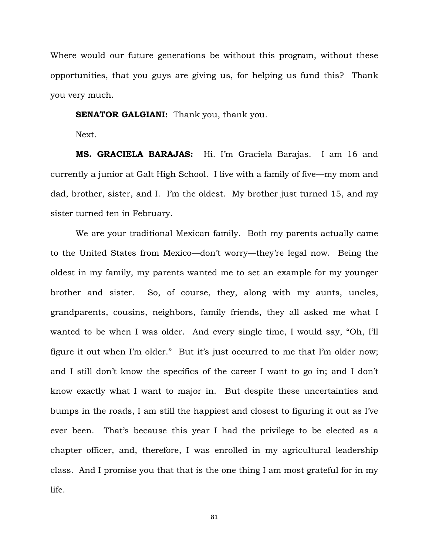Where would our future generations be without this program, without these opportunities, that you guys are giving us, for helping us fund this? Thank you very much.

#### **SENATOR GALGIANI:** Thank you, thank you.

Next.

**MS. GRACIELA BARAJAS:** Hi. I'm Graciela Barajas. I am 16 and currently a junior at Galt High School. I live with a family of five—my mom and dad, brother, sister, and I. I'm the oldest. My brother just turned 15, and my sister turned ten in February.

We are your traditional Mexican family. Both my parents actually came to the United States from Mexico—don't worry—they're legal now. Being the oldest in my family, my parents wanted me to set an example for my younger brother and sister. So, of course, they, along with my aunts, uncles, grandparents, cousins, neighbors, family friends, they all asked me what I wanted to be when I was older. And every single time, I would say, "Oh, I'll figure it out when I'm older." But it's just occurred to me that I'm older now; and I still don't know the specifics of the career I want to go in; and I don't know exactly what I want to major in. But despite these uncertainties and bumps in the roads, I am still the happiest and closest to figuring it out as I've ever been. That's because this year I had the privilege to be elected as a chapter officer, and, therefore, I was enrolled in my agricultural leadership class. And I promise you that that is the one thing I am most grateful for in my life.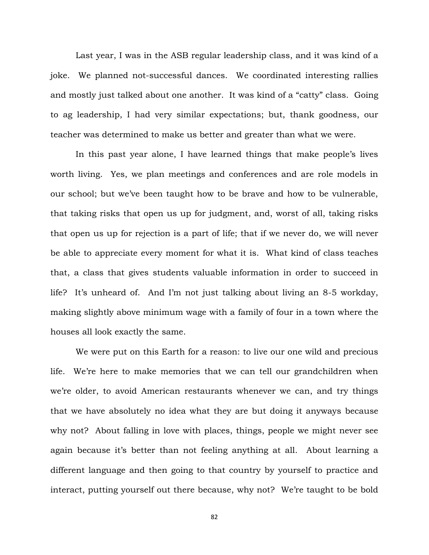Last year, I was in the ASB regular leadership class, and it was kind of a joke. We planned not-successful dances. We coordinated interesting rallies and mostly just talked about one another. It was kind of a "catty" class. Going to ag leadership, I had very similar expectations; but, thank goodness, our teacher was determined to make us better and greater than what we were.

In this past year alone, I have learned things that make people's lives worth living. Yes, we plan meetings and conferences and are role models in our school; but we've been taught how to be brave and how to be vulnerable, that taking risks that open us up for judgment, and, worst of all, taking risks that open us up for rejection is a part of life; that if we never do, we will never be able to appreciate every moment for what it is. What kind of class teaches that, a class that gives students valuable information in order to succeed in life? It's unheard of. And I'm not just talking about living an 8-5 workday, making slightly above minimum wage with a family of four in a town where the houses all look exactly the same.

We were put on this Earth for a reason: to live our one wild and precious life. We're here to make memories that we can tell our grandchildren when we're older, to avoid American restaurants whenever we can, and try things that we have absolutely no idea what they are but doing it anyways because why not? About falling in love with places, things, people we might never see again because it's better than not feeling anything at all. About learning a different language and then going to that country by yourself to practice and interact, putting yourself out there because, why not? We're taught to be bold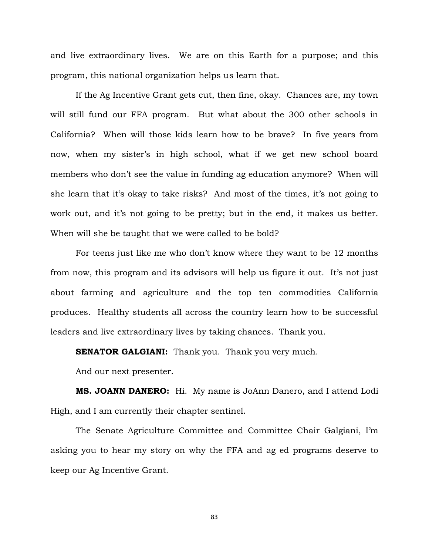and live extraordinary lives. We are on this Earth for a purpose; and this program, this national organization helps us learn that.

If the Ag Incentive Grant gets cut, then fine, okay. Chances are, my town will still fund our FFA program. But what about the 300 other schools in California? When will those kids learn how to be brave? In five years from now, when my sister's in high school, what if we get new school board members who don't see the value in funding ag education anymore? When will she learn that it's okay to take risks? And most of the times, it's not going to work out, and it's not going to be pretty; but in the end, it makes us better. When will she be taught that we were called to be bold?

For teens just like me who don't know where they want to be 12 months from now, this program and its advisors will help us figure it out. It's not just about farming and agriculture and the top ten commodities California produces. Healthy students all across the country learn how to be successful leaders and live extraordinary lives by taking chances. Thank you.

**SENATOR GALGIANI:** Thank you. Thank you very much.

And our next presenter.

**MS. JOANN DANERO:** Hi. My name is JoAnn Danero, and I attend Lodi High, and I am currently their chapter sentinel.

The Senate Agriculture Committee and Committee Chair Galgiani, I'm asking you to hear my story on why the FFA and ag ed programs deserve to keep our Ag Incentive Grant.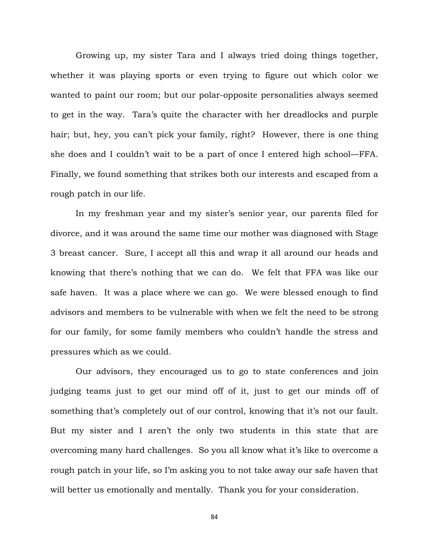Growing up, my sister Tara and I always tried doing things together, whether it was playing sports or even trying to figure out which color we wanted to paint our room; but our polar-opposite personalities always seemed to get in the way. Tara's quite the character with her dreadlocks and purple hair; but, hey, you can't pick your family, right? However, there is one thing she does and I couldn't wait to be a part of once I entered high school—FFA. Finally, we found something that strikes both our interests and escaped from a rough patch in our life.

In my freshman year and my sister's senior year, our parents filed for divorce, and it was around the same time our mother was diagnosed with Stage 3 breast cancer. Sure, I accept all this and wrap it all around our heads and knowing that there's nothing that we can do. We felt that FFA was like our safe haven. It was a place where we can go. We were blessed enough to find advisors and members to be vulnerable with when we felt the need to be strong for our family, for some family members who couldn't handle the stress and pressures which as we could.

Our advisors, they encouraged us to go to state conferences and join judging teams just to get our mind off of it, just to get our minds off of something that's completely out of our control, knowing that it's not our fault. But my sister and I aren't the only two students in this state that are overcoming many hard challenges. So you all know what it's like to overcome a rough patch in your life, so I'm asking you to not take away our safe haven that will better us emotionally and mentally. Thank you for your consideration.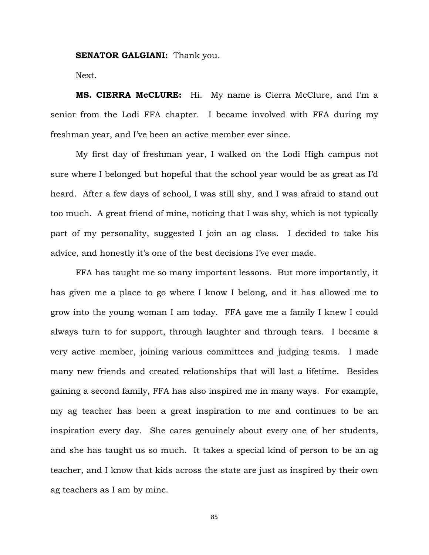#### **SENATOR GALGIANI:** Thank you.

Next.

**MS. CIERRA McCLURE:** Hi. My name is Cierra McClure, and I'm a senior from the Lodi FFA chapter. I became involved with FFA during my freshman year, and I've been an active member ever since.

My first day of freshman year, I walked on the Lodi High campus not sure where I belonged but hopeful that the school year would be as great as I'd heard. After a few days of school, I was still shy, and I was afraid to stand out too much. A great friend of mine, noticing that I was shy, which is not typically part of my personality, suggested I join an ag class. I decided to take his advice, and honestly it's one of the best decisions I've ever made.

FFA has taught me so many important lessons. But more importantly, it has given me a place to go where I know I belong, and it has allowed me to grow into the young woman I am today. FFA gave me a family I knew I could always turn to for support, through laughter and through tears. I became a very active member, joining various committees and judging teams. I made many new friends and created relationships that will last a lifetime. Besides gaining a second family, FFA has also inspired me in many ways. For example, my ag teacher has been a great inspiration to me and continues to be an inspiration every day. She cares genuinely about every one of her students, and she has taught us so much. It takes a special kind of person to be an ag teacher, and I know that kids across the state are just as inspired by their own ag teachers as I am by mine.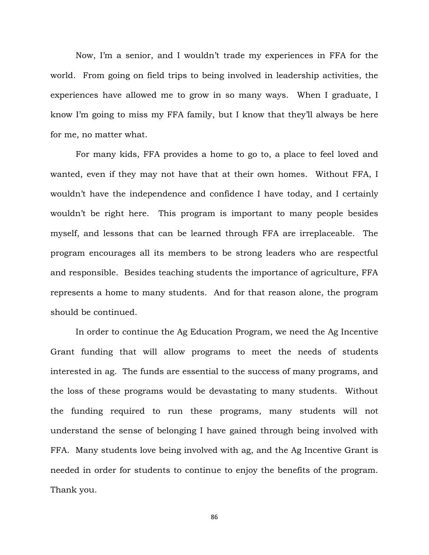Now, I'm a senior, and I wouldn't trade my experiences in FFA for the world. From going on field trips to being involved in leadership activities, the experiences have allowed me to grow in so many ways. When I graduate, I know I'm going to miss my FFA family, but I know that they'll always be here for me, no matter what.

For many kids, FFA provides a home to go to, a place to feel loved and wanted, even if they may not have that at their own homes. Without FFA, I wouldn't have the independence and confidence I have today, and I certainly wouldn't be right here. This program is important to many people besides myself, and lessons that can be learned through FFA are irreplaceable. The program encourages all its members to be strong leaders who are respectful and responsible. Besides teaching students the importance of agriculture, FFA represents a home to many students. And for that reason alone, the program should be continued.

In order to continue the Ag Education Program, we need the Ag Incentive Grant funding that will allow programs to meet the needs of students interested in ag. The funds are essential to the success of many programs, and the loss of these programs would be devastating to many students. Without the funding required to run these programs, many students will not understand the sense of belonging I have gained through being involved with FFA. Many students love being involved with ag, and the Ag Incentive Grant is needed in order for students to continue to enjoy the benefits of the program. Thank you.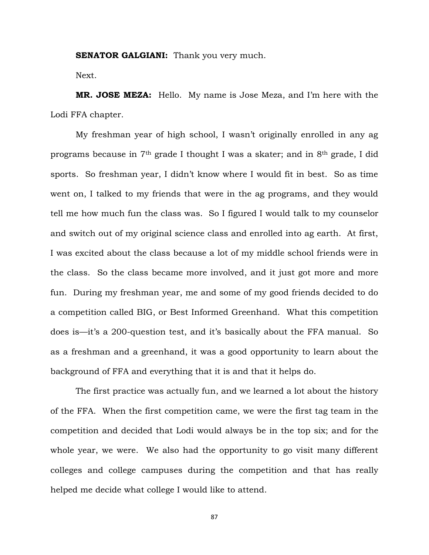**SENATOR GALGIANI:** Thank you very much.

Next.

**MR. JOSE MEZA:** Hello. My name is Jose Meza, and I'm here with the Lodi FFA chapter.

My freshman year of high school, I wasn't originally enrolled in any ag programs because in 7th grade I thought I was a skater; and in 8th grade, I did sports. So freshman year, I didn't know where I would fit in best. So as time went on, I talked to my friends that were in the ag programs, and they would tell me how much fun the class was. So I figured I would talk to my counselor and switch out of my original science class and enrolled into ag earth. At first, I was excited about the class because a lot of my middle school friends were in the class. So the class became more involved, and it just got more and more fun. During my freshman year, me and some of my good friends decided to do a competition called BIG, or Best Informed Greenhand. What this competition does is—it's a 200-question test, and it's basically about the FFA manual. So as a freshman and a greenhand, it was a good opportunity to learn about the background of FFA and everything that it is and that it helps do.

The first practice was actually fun, and we learned a lot about the history of the FFA. When the first competition came, we were the first tag team in the competition and decided that Lodi would always be in the top six; and for the whole year, we were. We also had the opportunity to go visit many different colleges and college campuses during the competition and that has really helped me decide what college I would like to attend.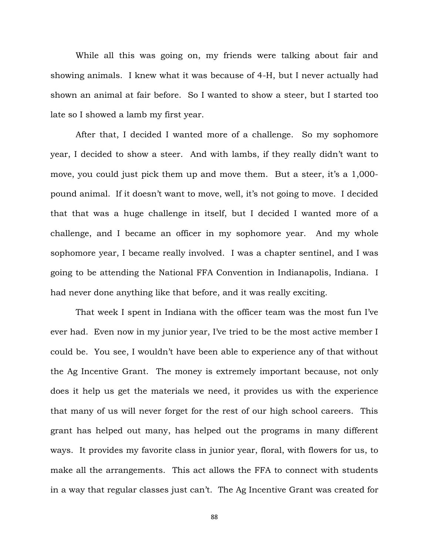While all this was going on, my friends were talking about fair and showing animals. I knew what it was because of 4-H, but I never actually had shown an animal at fair before. So I wanted to show a steer, but I started too late so I showed a lamb my first year.

After that, I decided I wanted more of a challenge. So my sophomore year, I decided to show a steer. And with lambs, if they really didn't want to move, you could just pick them up and move them. But a steer, it's a 1,000 pound animal. If it doesn't want to move, well, it's not going to move. I decided that that was a huge challenge in itself, but I decided I wanted more of a challenge, and I became an officer in my sophomore year. And my whole sophomore year, I became really involved. I was a chapter sentinel, and I was going to be attending the National FFA Convention in Indianapolis, Indiana. I had never done anything like that before, and it was really exciting.

That week I spent in Indiana with the officer team was the most fun I've ever had. Even now in my junior year, I've tried to be the most active member I could be. You see, I wouldn't have been able to experience any of that without the Ag Incentive Grant. The money is extremely important because, not only does it help us get the materials we need, it provides us with the experience that many of us will never forget for the rest of our high school careers. This grant has helped out many, has helped out the programs in many different ways. It provides my favorite class in junior year, floral, with flowers for us, to make all the arrangements. This act allows the FFA to connect with students in a way that regular classes just can't. The Ag Incentive Grant was created for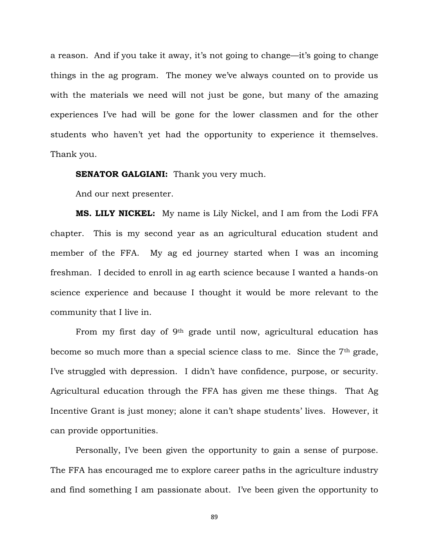a reason. And if you take it away, it's not going to change—it's going to change things in the ag program. The money we've always counted on to provide us with the materials we need will not just be gone, but many of the amazing experiences I've had will be gone for the lower classmen and for the other students who haven't yet had the opportunity to experience it themselves. Thank you.

**SENATOR GALGIANI:** Thank you very much.

And our next presenter.

**MS. LILY NICKEL:** My name is Lily Nickel, and I am from the Lodi FFA chapter. This is my second year as an agricultural education student and member of the FFA. My ag ed journey started when I was an incoming freshman. I decided to enroll in ag earth science because I wanted a hands-on science experience and because I thought it would be more relevant to the community that I live in.

From my first day of 9th grade until now, agricultural education has become so much more than a special science class to me. Since the 7th grade, I've struggled with depression. I didn't have confidence, purpose, or security. Agricultural education through the FFA has given me these things. That Ag Incentive Grant is just money; alone it can't shape students' lives. However, it can provide opportunities.

Personally, I've been given the opportunity to gain a sense of purpose. The FFA has encouraged me to explore career paths in the agriculture industry and find something I am passionate about. I've been given the opportunity to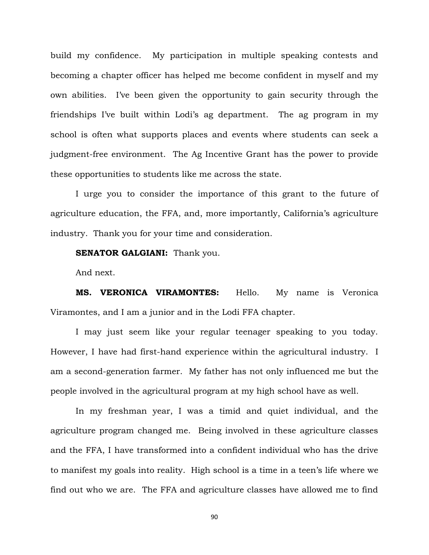build my confidence. My participation in multiple speaking contests and becoming a chapter officer has helped me become confident in myself and my own abilities. I've been given the opportunity to gain security through the friendships I've built within Lodi's ag department. The ag program in my school is often what supports places and events where students can seek a judgment-free environment. The Ag Incentive Grant has the power to provide these opportunities to students like me across the state.

I urge you to consider the importance of this grant to the future of agriculture education, the FFA, and, more importantly, California's agriculture industry. Thank you for your time and consideration.

## **SENATOR GALGIANI:** Thank you.

And next.

**MS. VERONICA VIRAMONTES:** Hello. My name is Veronica Viramontes, and I am a junior and in the Lodi FFA chapter.

I may just seem like your regular teenager speaking to you today. However, I have had first-hand experience within the agricultural industry. I am a second-generation farmer. My father has not only influenced me but the people involved in the agricultural program at my high school have as well.

In my freshman year, I was a timid and quiet individual, and the agriculture program changed me. Being involved in these agriculture classes and the FFA, I have transformed into a confident individual who has the drive to manifest my goals into reality. High school is a time in a teen's life where we find out who we are. The FFA and agriculture classes have allowed me to find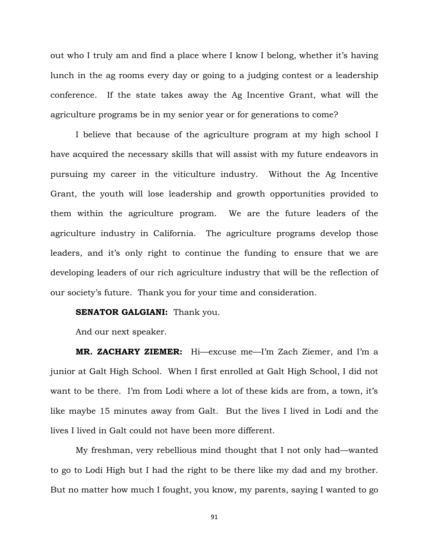out who I truly am and find a place where I know I belong, whether it's having lunch in the ag rooms every day or going to a judging contest or a leadership conference. If the state takes away the Ag Incentive Grant, what will the agriculture programs be in my senior year or for generations to come?

I believe that because of the agriculture program at my high school I have acquired the necessary skills that will assist with my future endeavors in pursuing my career in the viticulture industry. Without the Ag Incentive Grant, the youth will lose leadership and growth opportunities provided to them within the agriculture program. We are the future leaders of the agriculture industry in California. The agriculture programs develop those leaders, and it's only right to continue the funding to ensure that we are developing leaders of our rich agriculture industry that will be the reflection of our society's future. Thank you for your time and consideration.

# **SENATOR GALGIANI:** Thank you.

And our next speaker.

**MR. ZACHARY ZIEMER:** Hi—excuse me—I'm Zach Ziemer, and I'm a junior at Galt High School. When I first enrolled at Galt High School, I did not want to be there. I'm from Lodi where a lot of these kids are from, a town, it's like maybe 15 minutes away from Galt. But the lives I lived in Lodi and the lives I lived in Galt could not have been more different.

My freshman, very rebellious mind thought that I not only had—wanted to go to Lodi High but I had the right to be there like my dad and my brother. But no matter how much I fought, you know, my parents, saying I wanted to go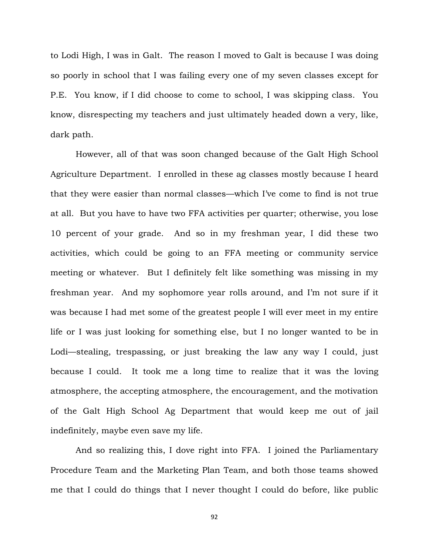to Lodi High, I was in Galt. The reason I moved to Galt is because I was doing so poorly in school that I was failing every one of my seven classes except for P.E. You know, if I did choose to come to school, I was skipping class. You know, disrespecting my teachers and just ultimately headed down a very, like, dark path.

However, all of that was soon changed because of the Galt High School Agriculture Department. I enrolled in these ag classes mostly because I heard that they were easier than normal classes—which I've come to find is not true at all. But you have to have two FFA activities per quarter; otherwise, you lose 10 percent of your grade. And so in my freshman year, I did these two activities, which could be going to an FFA meeting or community service meeting or whatever. But I definitely felt like something was missing in my freshman year. And my sophomore year rolls around, and I'm not sure if it was because I had met some of the greatest people I will ever meet in my entire life or I was just looking for something else, but I no longer wanted to be in Lodi—stealing, trespassing, or just breaking the law any way I could, just because I could. It took me a long time to realize that it was the loving atmosphere, the accepting atmosphere, the encouragement, and the motivation of the Galt High School Ag Department that would keep me out of jail indefinitely, maybe even save my life.

And so realizing this, I dove right into FFA. I joined the Parliamentary Procedure Team and the Marketing Plan Team, and both those teams showed me that I could do things that I never thought I could do before, like public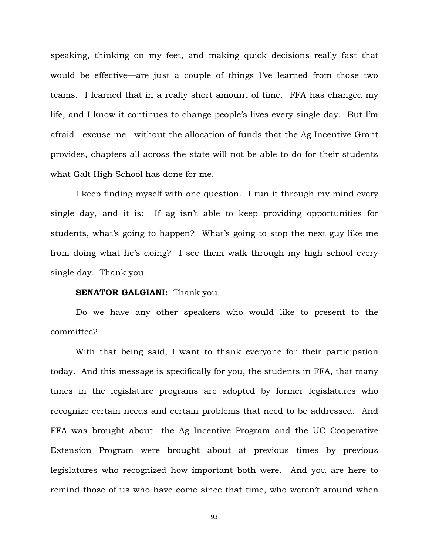speaking, thinking on my feet, and making quick decisions really fast that would be effective—are just a couple of things I've learned from those two teams. I learned that in a really short amount of time. FFA has changed my life, and I know it continues to change people's lives every single day. But I'm afraid—excuse me—without the allocation of funds that the Ag Incentive Grant provides, chapters all across the state will not be able to do for their students what Galt High School has done for me.

I keep finding myself with one question. I run it through my mind every single day, and it is: If ag isn't able to keep providing opportunities for students, what's going to happen? What's going to stop the next guy like me from doing what he's doing? I see them walk through my high school every single day. Thank you.

## **SENATOR GALGIANI:** Thank you.

Do we have any other speakers who would like to present to the committee?

With that being said, I want to thank everyone for their participation today. And this message is specifically for you, the students in FFA, that many times in the legislature programs are adopted by former legislatures who recognize certain needs and certain problems that need to be addressed. And FFA was brought about—the Ag Incentive Program and the UC Cooperative Extension Program were brought about at previous times by previous legislatures who recognized how important both were. And you are here to remind those of us who have come since that time, who weren't around when